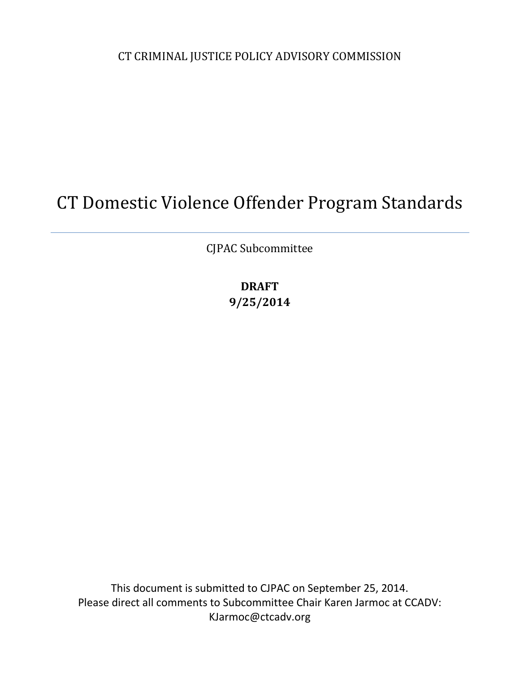CT CRIMINAL JUSTICE POLICY ADVISORY COMMISSION

# CT Domestic Violence Offender Program Standards

CJPAC Subcommittee

**DRAFT 9/25/2014**

This document is submitted to CJPAC on September 25, 2014. Please direct all comments to Subcommittee Chair Karen Jarmoc at CCADV: KJarmoc@ctcadv.org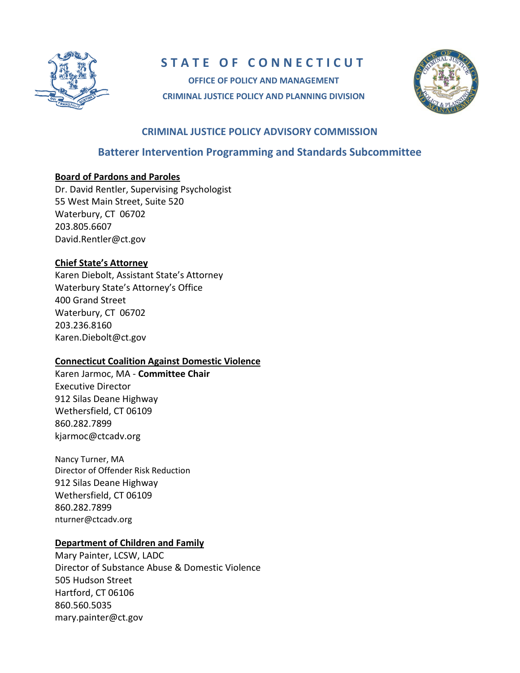

# **STATE OF CONNECTICUT**

**OFFICE OF POLICY AND MANAGEMENT CRIMINAL JUSTICE POLICY AND PLANNING DIVISION**



#### **CRIMINAL JUSTICE POLICY ADVISORY COMMISSION**

# **Batterer Intervention Programming and Standards Subcommittee**

#### **Board of Pardons and Paroles**

Dr. David Rentler, Supervising Psychologist 55 West Main Street, Suite 520 Waterbury, CT 06702 203.805.6607 [David.Rentler@ct.gov](mailto:David.Rentler@ct.gov)

#### **Chief State's Attorney**

Karen Diebolt, Assistant State's Attorney Waterbury State's Attorney's Office 400 Grand Street Waterbury, CT 06702 203.236.8160 [Karen.Diebolt@ct.gov](mailto:Karen.Diebolt@ct.gov)

#### **Connecticut Coalition Against Domestic Violence**

Karen Jarmoc, MA - **Committee Chair** Executive Director 912 Silas Deane Highway Wethersfield, CT 06109 860.282.7899 [kjarmoc@ctcadv.org](mailto:kjarmoc@ctcadv.org)

Nancy Turner, MA Director of Offender Risk Reduction 912 Silas Deane Highway Wethersfield, CT 06109 860.282.7899 [nturner@ctcadv.org](mailto:nturner@ctcadv.org)

#### **Department of Children and Family**

Mary Painter, LCSW, LADC Director of Substance Abuse & Domestic Violence 505 Hudson Street Hartford, CT 06106 860.560.5035 [mary.painter@ct.gov](mailto:mary.painter@ct.gov)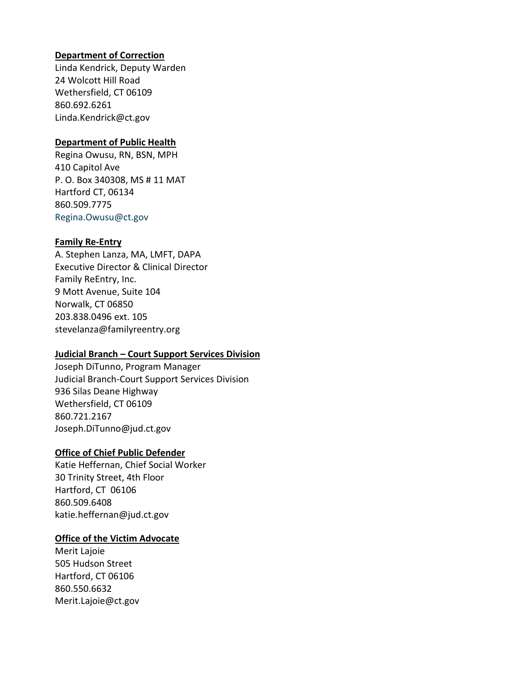#### **Department of Correction**

Linda Kendrick, Deputy Warden 24 Wolcott Hill Road Wethersfield, CT 06109 860.692.6261 [Linda.Kendrick@ct.gov](mailto:Linda.Kendrick@ct.gov)

#### **Department of Public Health**

Regina Owusu, RN, BSN, MPH 410 Capitol Ave P. O. Box 340308, MS # 11 MAT Hartford CT, 06134 860.509.7775 [Regina.Owusu@ct.gov](mailto:Regina.Owusu@ct.gov)

#### **Family Re-Entry**

A. Stephen Lanza, MA, LMFT, DAPA Executive Director & Clinical Director Family ReEntry, Inc. 9 Mott Avenue, Suite 104 Norwalk, CT 06850 203.838.0496 ext. 105 [stevelanza@familyreentry.org](mailto:stevelanza@familyreentry.org)

#### **Judicial Branch – Court Support Services Division**

Joseph DiTunno, Program Manager Judicial Branch-Court Support Services Division 936 Silas Deane Highway Wethersfield, CT 06109 860.721.2167 [Joseph.DiTunno@jud.ct.gov](mailto:Joseph.DiTunno@jud.ct.gov)

#### **Office of Chief Public Defender**

Katie Heffernan, Chief Social Worker 30 Trinity Street, 4th Floor Hartford, CT 06106 860.509.6408 [katie.heffernan@jud.ct.gov](mailto:katie.heffernan@jud.ct.gov)

#### **Office of the Victim Advocate**

Merit Lajoie 505 Hudson Street Hartford, CT 06106 860.550.6632 [Merit.Lajoie@ct.gov](mailto:Merit.Lajoie@ct.gov)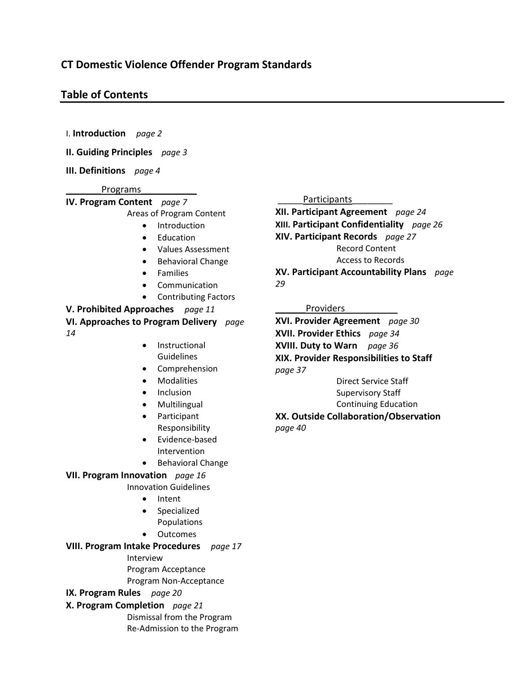#### **Table of Contents**

I. **Introduction** *page 2*

**II. Guiding Principles** *page 3*

**III. Definitions** *page 4*

Programs

**IV. Program Content** *page 7* Areas of Program Content

- Introduction
- Education
- Values Assessment
- Behavioral Change
- Families
- Communication
- Contributing Factors

**V. Prohibited Approaches** *page 11*

**VI. Approaches to Program Delivery** *page 14*

- Instructional Guidelines
- **Comprehension**
- Modalities
- Inclusion
- Multilingual
- Participant Responsibility
- Evidence-based Intervention
- Behavioral Change

#### **VII. Program Innovation** *page 16*

Innovation Guidelines

- Intent
- Specialized Populations
- Outcomes

**VIII. Program Intake Procedures** *page 17*

Interview

Program Acceptance Program Non-Acceptance

**IX. Program Rules** *page 20*

**X. Program Completion** *page 21*

Dismissal from the Program Re-Admission to the Program

#### Participants

**XII. Participant Agreement** *page 24* **XIII. Participant Confidentiality** *page 26* **XIV. Participant Records** *page 27* Record Content

Access to Records

**XV. Participant Accountability Plans** *page 29*

#### Providers

**XVI. Provider Agreement** *page 30* **XVII. Provider Ethics** *page 34* **XVIII. Duty to Warn** *page 36* **XIX. Provider Responsibilities to Staff** *page 37*

Direct Service Staff Supervisory Staff Continuing Education

# **XX. Outside Collaboration/Observation**

*page 40*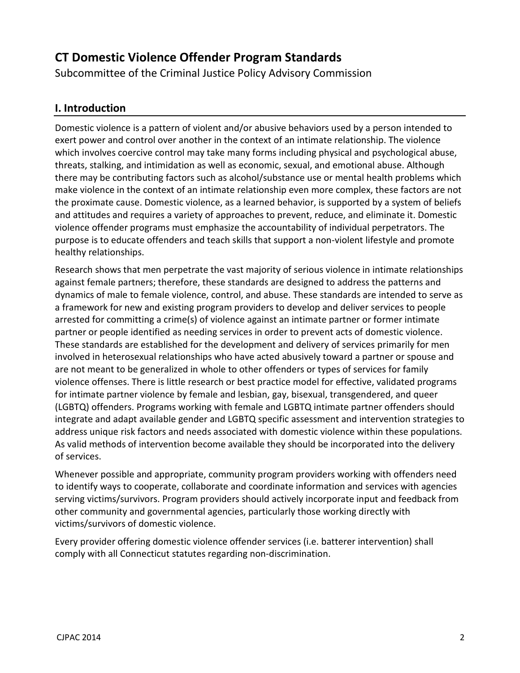# **CT Domestic Violence Offender Program Standards**

Subcommittee of the Criminal Justice Policy Advisory Commission

# **I. Introduction**

Domestic violence is a pattern of violent and/or abusive behaviors used by a person intended to exert power and control over another in the context of an intimate relationship. The violence which involves coercive control may take many forms including physical and psychological abuse, threats, stalking, and intimidation as well as economic, sexual, and emotional abuse. Although there may be contributing factors such as alcohol/substance use or mental health problems which make violence in the context of an intimate relationship even more complex, these factors are not the proximate cause. Domestic violence, as a learned behavior, is supported by a system of beliefs and attitudes and requires a variety of approaches to prevent, reduce, and eliminate it. Domestic violence offender programs must emphasize the accountability of individual perpetrators. The purpose is to educate offenders and teach skills that support a non-violent lifestyle and promote healthy relationships.

Research shows that men perpetrate the vast majority of serious violence in intimate relationships against female partners; therefore, these standards are designed to address the patterns and dynamics of male to female violence, control, and abuse. These standards are intended to serve as a framework for new and existing program providers to develop and deliver services to people arrested for committing a crime(s) of violence against an intimate partner or former intimate partner or people identified as needing services in order to prevent acts of domestic violence. These standards are established for the development and delivery of services primarily for men involved in heterosexual relationships who have acted abusively toward a partner or spouse and are not meant to be generalized in whole to other offenders or types of services for family violence offenses. There is little research or best practice model for effective, validated programs for intimate partner violence by female and lesbian, gay, bisexual, transgendered, and queer (LGBTQ) offenders. Programs working with female and LGBTQ intimate partner offenders should integrate and adapt available gender and LGBTQ specific assessment and intervention strategies to address unique risk factors and needs associated with domestic violence within these populations. As valid methods of intervention become available they should be incorporated into the delivery of services.

Whenever possible and appropriate, community program providers working with offenders need to identify ways to cooperate, collaborate and coordinate information and services with agencies serving victims/survivors. Program providers should actively incorporate input and feedback from other community and governmental agencies, particularly those working directly with victims/survivors of domestic violence.

Every provider offering domestic violence offender services (i.e. batterer intervention) shall comply with all Connecticut statutes regarding non-discrimination.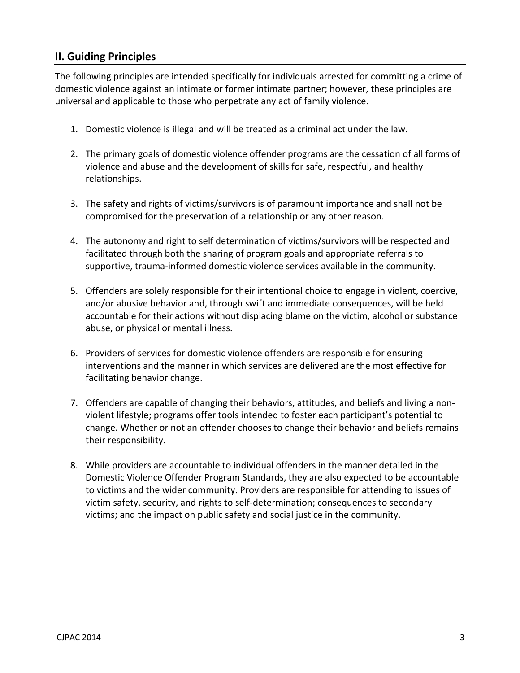# **II. Guiding Principles**

The following principles are intended specifically for individuals arrested for committing a crime of domestic violence against an intimate or former intimate partner; however, these principles are universal and applicable to those who perpetrate any act of family violence.

- 1. Domestic violence is illegal and will be treated as a criminal act under the law.
- 2. The primary goals of domestic violence offender programs are the cessation of all forms of violence and abuse and the development of skills for safe, respectful, and healthy relationships.
- 3. The safety and rights of victims/survivors is of paramount importance and shall not be compromised for the preservation of a relationship or any other reason.
- 4. The autonomy and right to self determination of victims/survivors will be respected and facilitated through both the sharing of program goals and appropriate referrals to supportive, trauma-informed domestic violence services available in the community.
- 5. Offenders are solely responsible for their intentional choice to engage in violent, coercive, and/or abusive behavior and, through swift and immediate consequences, will be held accountable for their actions without displacing blame on the victim, alcohol or substance abuse, or physical or mental illness.
- 6. Providers of services for domestic violence offenders are responsible for ensuring interventions and the manner in which services are delivered are the most effective for facilitating behavior change.
- 7. Offenders are capable of changing their behaviors, attitudes, and beliefs and living a nonviolent lifestyle; programs offer tools intended to foster each participant's potential to change. Whether or not an offender chooses to change their behavior and beliefs remains their responsibility.
- 8. While providers are accountable to individual offenders in the manner detailed in the Domestic Violence Offender Program Standards, they are also expected to be accountable to victims and the wider community. Providers are responsible for attending to issues of victim safety, security, and rights to self-determination; consequences to secondary victims; and the impact on public safety and social justice in the community.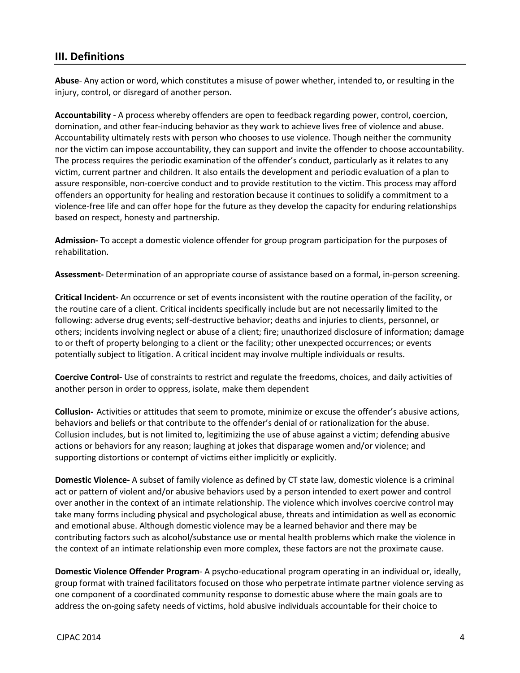#### **III. Definitions**

**Abuse**- Any action or word, which constitutes a misuse of power whether, intended to, or resulting in the injury, control, or disregard of another person.

**Accountability** - A process whereby offenders are open to feedback regarding power, control, coercion, domination, and other fear-inducing behavior as they work to achieve lives free of violence and abuse. Accountability ultimately rests with person who chooses to use violence. Though neither the community nor the victim can impose accountability, they can support and invite the offender to choose accountability. The process requires the periodic examination of the offender's conduct, particularly as it relates to any victim, current partner and children. It also entails the development and periodic evaluation of a plan to assure responsible, non-coercive conduct and to provide restitution to the victim. This process may afford offenders an opportunity for healing and restoration because it continues to solidify a commitment to a violence-free life and can offer hope for the future as they develop the capacity for enduring relationships based on respect, honesty and partnership.

**Admission-** To accept a domestic violence offender for group program participation for the purposes of rehabilitation.

**Assessment-** Determination of an appropriate course of assistance based on a formal, in-person screening.

**Critical Incident-** An occurrence or set of events inconsistent with the routine operation of the facility, or the routine care of a client. Critical incidents specifically include but are not necessarily limited to the following: adverse drug events; self-destructive behavior; deaths and injuries to clients, personnel, or others; incidents involving neglect or abuse of a client; fire; unauthorized disclosure of information; damage to or theft of property belonging to a client or the facility; other unexpected occurrences; or events potentially subject to litigation. A critical incident may involve multiple individuals or results.

**Coercive Control-** Use of constraints to restrict and regulate the freedoms, choices, and daily activities of another person in order to oppress, isolate, make them dependent

**Collusion-** Activities or attitudes that seem to promote, minimize or excuse the offender's abusive actions, behaviors and beliefs or that contribute to the offender's denial of or rationalization for the abuse. Collusion includes, but is not limited to, legitimizing the use of abuse against a victim; defending abusive actions or behaviors for any reason; laughing at jokes that disparage women and/or violence; and supporting distortions or contempt of victims either implicitly or explicitly.

**Domestic Violence-** A subset of family violence as defined by CT state law, domestic violence is a criminal act or pattern of violent and/or abusive behaviors used by a person intended to exert power and control over another in the context of an intimate relationship. The violence which involves coercive control may take many forms including physical and psychological abuse, threats and intimidation as well as economic and emotional abuse. Although domestic violence may be a learned behavior and there may be contributing factors such as alcohol/substance use or mental health problems which make the violence in the context of an intimate relationship even more complex, these factors are not the proximate cause.

**Domestic Violence Offender Program**- A psycho-educational program operating in an individual or, ideally, group format with trained facilitators focused on those who perpetrate intimate partner violence serving as one component of a coordinated community response to domestic abuse where the main goals are to address the on-going safety needs of victims, hold abusive individuals accountable for their choice to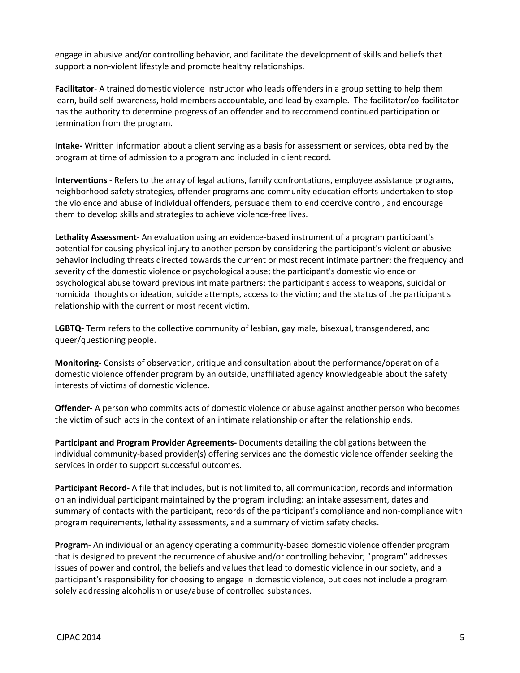engage in abusive and/or controlling behavior, and facilitate the development of skills and beliefs that support a non-violent lifestyle and promote healthy relationships.

**Facilitator**- A trained domestic violence instructor who leads offenders in a group setting to help them learn, build self-awareness, hold members accountable, and lead by example. The facilitator/co-facilitator has the authority to determine progress of an offender and to recommend continued participation or termination from the program.

**Intake-** Written information about a client serving as a basis for assessment or services, obtained by the program at time of admission to a program and included in client record.

**Interventions** - Refers to the array of legal actions, family confrontations, employee assistance programs, neighborhood safety strategies, offender programs and community education efforts undertaken to stop the violence and abuse of individual offenders, persuade them to end coercive control, and encourage them to develop skills and strategies to achieve violence-free lives.

**Lethality Assessment**- An evaluation using an evidence-based instrument of a program participant's potential for causing physical injury to another person by considering the participant's violent or abusive behavior including threats directed towards the current or most recent intimate partner; the frequency and severity of the domestic violence or psychological abuse; the participant's domestic violence or psychological abuse toward previous intimate partners; the participant's access to weapons, suicidal or homicidal thoughts or ideation, suicide attempts, access to the victim; and the status of the participant's relationship with the current or most recent victim.

**LGBTQ-** Term refers to the collective community of lesbian, gay male, bisexual, transgendered, and queer/questioning people.

**Monitoring-** Consists of observation, critique and consultation about the performance/operation of a domestic violence offender program by an outside, unaffiliated agency knowledgeable about the safety interests of victims of domestic violence.

**Offender-** A person who commits acts of domestic violence or abuse against another person who becomes the victim of such acts in the context of an intimate relationship or after the relationship ends.

**Participant and Program Provider Agreements-** Documents detailing the obligations between the individual community-based provider(s) offering services and the domestic violence offender seeking the services in order to support successful outcomes.

**Participant Record-** A file that includes, but is not limited to, all communication, records and information on an individual participant maintained by the program including: an intake assessment, dates and summary of contacts with the participant, records of the participant's compliance and non-compliance with program requirements, lethality assessments, and a summary of victim safety checks.

**Program**- An individual or an agency operating a community-based domestic violence offender program that is designed to prevent the recurrence of abusive and/or controlling behavior; "program" addresses issues of power and control, the beliefs and values that lead to domestic violence in our society, and a participant's responsibility for choosing to engage in domestic violence, but does not include a program solely addressing alcoholism or use/abuse of controlled substances.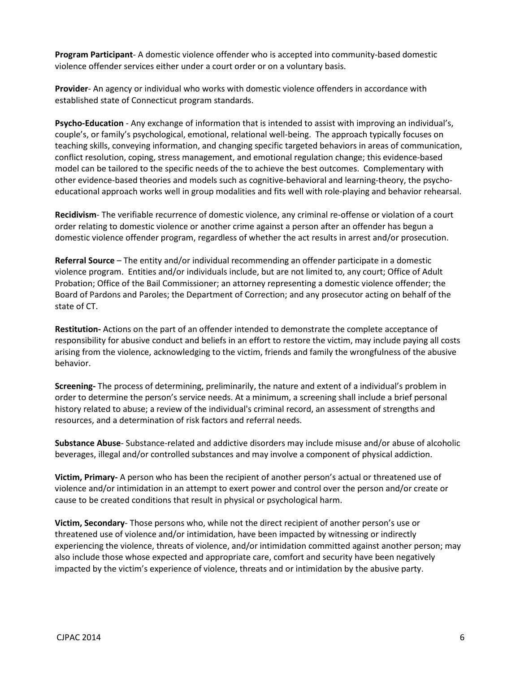**Program Participant**- A domestic violence offender who is accepted into community-based domestic violence offender services either under a court order or on a voluntary basis.

**Provider**- An agency or individual who works with domestic violence offenders in accordance with established state of Connecticut program standards.

**Psycho-Education** - Any exchange of information that is intended to assist with improving an individual's, couple's, or family's psychological, emotional, relational well-being. The approach typically focuses on teaching skills, conveying information, and changing specific targeted behaviors in areas of communication, conflict resolution, coping, stress management, and emotional regulation change; this evidence-based model can be tailored to the specific needs of the to achieve the best outcomes. Complementary with other evidence-based theories and models such as cognitive-behavioral and learning-theory, the psychoeducational approach works well in group modalities and fits well with role-playing and behavior rehearsal.

**Recidivism**- The verifiable recurrence of domestic violence, any criminal re-offense or violation of a court order relating to domestic violence or another crime against a person after an offender has begun a domestic violence offender program, regardless of whether the act results in arrest and/or prosecution.

**Referral Source** – The entity and/or individual recommending an offender participate in a domestic violence program. Entities and/or individuals include, but are not limited to, any court; Office of Adult Probation; Office of the Bail Commissioner; an attorney representing a domestic violence offender; the Board of Pardons and Paroles; the Department of Correction; and any prosecutor acting on behalf of the state of CT.

**Restitution-** Actions on the part of an offender intended to demonstrate the complete acceptance of responsibility for abusive conduct and beliefs in an effort to restore the victim, may include paying all costs arising from the violence, acknowledging to the victim, friends and family the wrongfulness of the abusive behavior.

**Screening-** The process of determining, preliminarily, the nature and extent of a individual's problem in order to determine the person's service needs. At a minimum, a screening shall include a brief personal history related to abuse; a review of the individual's criminal record, an assessment of strengths and resources, and a determination of risk factors and referral needs.

**Substance Abuse**- Substance-related and addictive disorders may include misuse and/or abuse of alcoholic beverages, illegal and/or controlled substances and may involve a component of physical addiction.

**Victim, Primary-** A person who has been the recipient of another person's actual or threatened use of violence and/or intimidation in an attempt to exert power and control over the person and/or create or cause to be created conditions that result in physical or psychological harm.

**Victim, Secondary**- Those persons who, while not the direct recipient of another person's use or threatened use of violence and/or intimidation, have been impacted by witnessing or indirectly experiencing the violence, threats of violence, and/or intimidation committed against another person; may also include those whose expected and appropriate care, comfort and security have been negatively impacted by the victim's experience of violence, threats and or intimidation by the abusive party.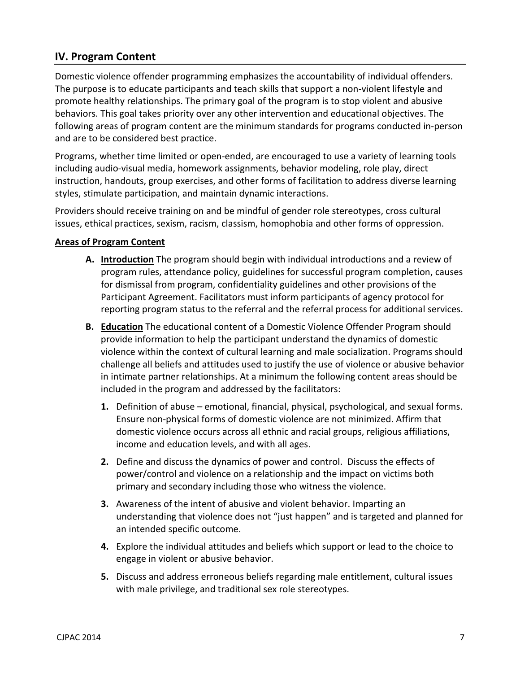# **IV. Program Content**

Domestic violence offender programming emphasizes the accountability of individual offenders. The purpose is to educate participants and teach skills that support a non-violent lifestyle and promote healthy relationships. The primary goal of the program is to stop violent and abusive behaviors. This goal takes priority over any other intervention and educational objectives. The following areas of program content are the minimum standards for programs conducted in-person and are to be considered best practice.

Programs, whether time limited or open-ended, are encouraged to use a variety of learning tools including audio-visual media, homework assignments, behavior modeling, role play, direct instruction, handouts, group exercises, and other forms of facilitation to address diverse learning styles, stimulate participation, and maintain dynamic interactions.

Providers should receive training on and be mindful of gender role stereotypes, cross cultural issues, ethical practices, sexism, racism, classism, homophobia and other forms of oppression.

#### **Areas of Program Content**

- **A. Introduction** The program should begin with individual introductions and a review of program rules, attendance policy, guidelines for successful program completion, causes for dismissal from program, confidentiality guidelines and other provisions of the Participant Agreement. Facilitators must inform participants of agency protocol for reporting program status to the referral and the referral process for additional services.
- **B. Education** The educational content of a Domestic Violence Offender Program should provide information to help the participant understand the dynamics of domestic violence within the context of cultural learning and male socialization. Programs should challenge all beliefs and attitudes used to justify the use of violence or abusive behavior in intimate partner relationships. At a minimum the following content areas should be included in the program and addressed by the facilitators:
	- **1.** Definition of abuse emotional, financial, physical, psychological, and sexual forms. Ensure non-physical forms of domestic violence are not minimized. Affirm that domestic violence occurs across all ethnic and racial groups, religious affiliations, income and education levels, and with all ages.
	- **2.** Define and discuss the dynamics of power and control. Discuss the effects of power/control and violence on a relationship and the impact on victims both primary and secondary including those who witness the violence.
	- **3.** Awareness of the intent of abusive and violent behavior. Imparting an understanding that violence does not "just happen" and is targeted and planned for an intended specific outcome.
	- **4.** Explore the individual attitudes and beliefs which support or lead to the choice to engage in violent or abusive behavior.
	- **5.** Discuss and address erroneous beliefs regarding male entitlement, cultural issues with male privilege, and traditional sex role stereotypes.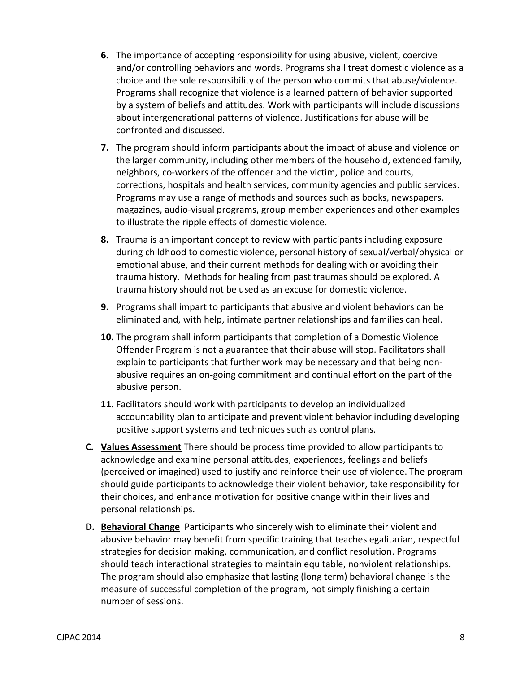- **6.** The importance of accepting responsibility for using abusive, violent, coercive and/or controlling behaviors and words. Programs shall treat domestic violence as a choice and the sole responsibility of the person who commits that abuse/violence. Programs shall recognize that violence is a learned pattern of behavior supported by a system of beliefs and attitudes. Work with participants will include discussions about intergenerational patterns of violence. Justifications for abuse will be confronted and discussed.
- **7.** The program should inform participants about the impact of abuse and violence on the larger community, including other members of the household, extended family, neighbors, co-workers of the offender and the victim, police and courts, corrections, hospitals and health services, community agencies and public services. Programs may use a range of methods and sources such as books, newspapers, magazines, audio-visual programs, group member experiences and other examples to illustrate the ripple effects of domestic violence.
- **8.** Trauma is an important concept to review with participants including exposure during childhood to domestic violence, personal history of sexual/verbal/physical or emotional abuse, and their current methods for dealing with or avoiding their trauma history. Methods for healing from past traumas should be explored. A trauma history should not be used as an excuse for domestic violence.
- **9.** Programs shall impart to participants that abusive and violent behaviors can be eliminated and, with help, intimate partner relationships and families can heal.
- **10.** The program shall inform participants that completion of a Domestic Violence Offender Program is not a guarantee that their abuse will stop. Facilitators shall explain to participants that further work may be necessary and that being nonabusive requires an on-going commitment and continual effort on the part of the abusive person.
- **11.** Facilitators should work with participants to develop an individualized accountability plan to anticipate and prevent violent behavior including developing positive support systems and techniques such as control plans.
- **C. Values Assessment** There should be process time provided to allow participants to acknowledge and examine personal attitudes, experiences, feelings and beliefs (perceived or imagined) used to justify and reinforce their use of violence. The program should guide participants to acknowledge their violent behavior, take responsibility for their choices, and enhance motivation for positive change within their lives and personal relationships.
- **D. Behavioral Change** Participants who sincerely wish to eliminate their violent and abusive behavior may benefit from specific training that teaches egalitarian, respectful strategies for decision making, communication, and conflict resolution. Programs should teach interactional strategies to maintain equitable, nonviolent relationships. The program should also emphasize that lasting (long term) behavioral change is the measure of successful completion of the program, not simply finishing a certain number of sessions.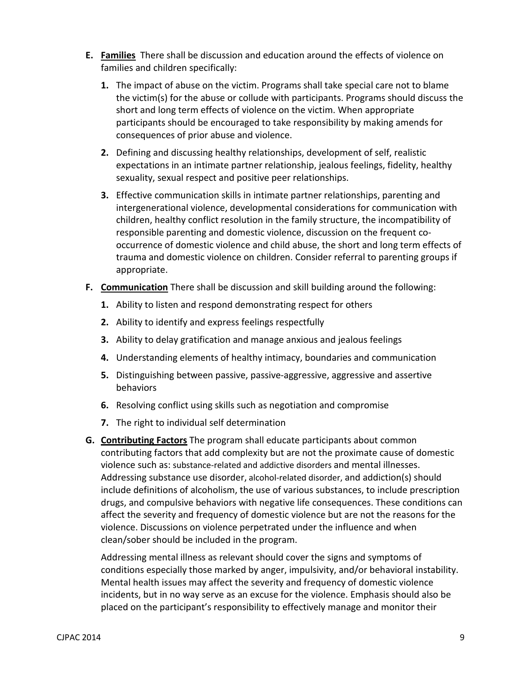- **E. Families** There shall be discussion and education around the effects of violence on families and children specifically:
	- **1.** The impact of abuse on the victim. Programs shall take special care not to blame the victim(s) for the abuse or collude with participants. Programs should discuss the short and long term effects of violence on the victim. When appropriate participants should be encouraged to take responsibility by making amends for consequences of prior abuse and violence.
	- **2.** Defining and discussing healthy relationships, development of self, realistic expectations in an intimate partner relationship, jealous feelings, fidelity, healthy sexuality, sexual respect and positive peer relationships.
	- **3.** Effective communication skills in intimate partner relationships, parenting and intergenerational violence, developmental considerations for communication with children, healthy conflict resolution in the family structure, the incompatibility of responsible parenting and domestic violence, discussion on the frequent cooccurrence of domestic violence and child abuse, the short and long term effects of trauma and domestic violence on children. Consider referral to parenting groups if appropriate.
- **F. Communication** There shall be discussion and skill building around the following:
	- **1.** Ability to listen and respond demonstrating respect for others
	- **2.** Ability to identify and express feelings respectfully
	- **3.** Ability to delay gratification and manage anxious and jealous feelings
	- **4.** Understanding elements of healthy intimacy, boundaries and communication
	- **5.** Distinguishing between passive, passive-aggressive, aggressive and assertive behaviors
	- **6.** Resolving conflict using skills such as negotiation and compromise
	- **7.** The right to individual self determination
- **G. Contributing Factors** The program shall educate participants about common contributing factors that add complexity but are not the proximate cause of domestic violence such as: substance-related and addictive disorders and mental illnesses. Addressing substance use disorder, alcohol-related disorder, and addiction(s) should include definitions of alcoholism, the use of various substances, to include prescription drugs, and compulsive behaviors with negative life consequences. These conditions can affect the severity and frequency of domestic violence but are not the reasons for the violence. Discussions on violence perpetrated under the influence and when clean/sober should be included in the program.

Addressing mental illness as relevant should cover the signs and symptoms of conditions especially those marked by anger, impulsivity, and/or behavioral instability. Mental health issues may affect the severity and frequency of domestic violence incidents, but in no way serve as an excuse for the violence. Emphasis should also be placed on the participant's responsibility to effectively manage and monitor their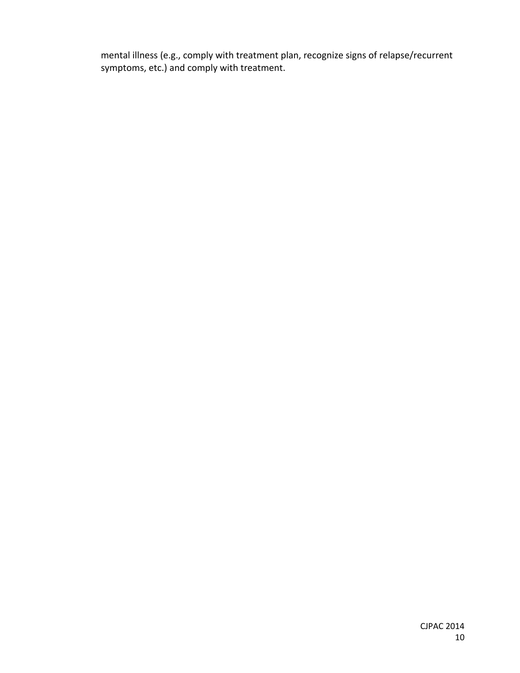mental illness (e.g., comply with treatment plan, recognize signs of relapse/recurrent symptoms, etc.) and comply with treatment.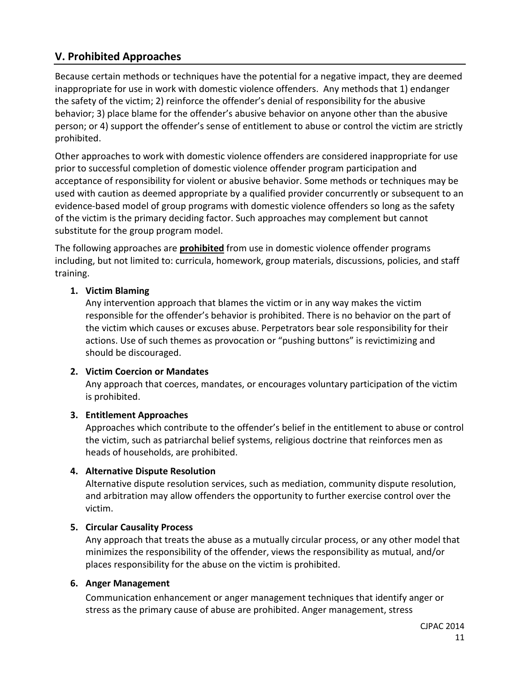# **V. Prohibited Approaches**

Because certain methods or techniques have the potential for a negative impact, they are deemed inappropriate for use in work with domestic violence offenders. Any methods that 1) endanger the safety of the victim; 2) reinforce the offender's denial of responsibility for the abusive behavior; 3) place blame for the offender's abusive behavior on anyone other than the abusive person; or 4) support the offender's sense of entitlement to abuse or control the victim are strictly prohibited.

Other approaches to work with domestic violence offenders are considered inappropriate for use prior to successful completion of domestic violence offender program participation and acceptance of responsibility for violent or abusive behavior. Some methods or techniques may be used with caution as deemed appropriate by a qualified provider concurrently or subsequent to an evidence-based model of group programs with domestic violence offenders so long as the safety of the victim is the primary deciding factor. Such approaches may complement but cannot substitute for the group program model.

The following approaches are **prohibited** from use in domestic violence offender programs including, but not limited to: curricula, homework, group materials, discussions, policies, and staff training.

#### **1. Victim Blaming**

Any intervention approach that blames the victim or in any way makes the victim responsible for the offender's behavior is prohibited. There is no behavior on the part of the victim which causes or excuses abuse. Perpetrators bear sole responsibility for their actions. Use of such themes as provocation or "pushing buttons" is revictimizing and should be discouraged.

#### **2. Victim Coercion or Mandates**

Any approach that coerces, mandates, or encourages voluntary participation of the victim is prohibited.

#### **3. Entitlement Approaches**

Approaches which contribute to the offender's belief in the entitlement to abuse or control the victim, such as patriarchal belief systems, religious doctrine that reinforces men as heads of households, are prohibited.

#### **4. Alternative Dispute Resolution**

Alternative dispute resolution services, such as mediation, community dispute resolution, and arbitration may allow offenders the opportunity to further exercise control over the victim.

#### **5. Circular Causality Process**

Any approach that treats the abuse as a mutually circular process, or any other model that minimizes the responsibility of the offender, views the responsibility as mutual, and/or places responsibility for the abuse on the victim is prohibited.

#### **6. Anger Management**

Communication enhancement or anger management techniques that identify anger or stress as the primary cause of abuse are prohibited. Anger management, stress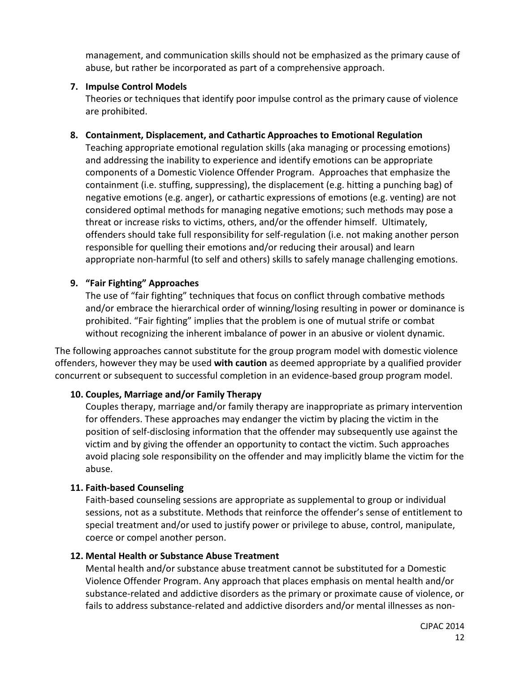management, and communication skills should not be emphasized as the primary cause of abuse, but rather be incorporated as part of a comprehensive approach.

#### **7. Impulse Control Models**

Theories or techniques that identify poor impulse control as the primary cause of violence are prohibited.

#### **8. Containment, Displacement, and Cathartic Approaches to Emotional Regulation**

Teaching appropriate emotional regulation skills (aka managing or processing emotions) and addressing the inability to experience and identify emotions can be appropriate components of a Domestic Violence Offender Program. Approaches that emphasize the containment (i.e. stuffing, suppressing), the displacement (e.g. hitting a punching bag) of negative emotions (e.g. anger), or cathartic expressions of emotions (e.g. venting) are not considered optimal methods for managing negative emotions; such methods may pose a threat or increase risks to victims, others, and/or the offender himself. Ultimately, offenders should take full responsibility for self-regulation (i.e. not making another person responsible for quelling their emotions and/or reducing their arousal) and learn appropriate non-harmful (to self and others) skills to safely manage challenging emotions.

#### **9. "Fair Fighting" Approaches**

The use of "fair fighting" techniques that focus on conflict through combative methods and/or embrace the hierarchical order of winning/losing resulting in power or dominance is prohibited. "Fair fighting" implies that the problem is one of mutual strife or combat without recognizing the inherent imbalance of power in an abusive or violent dynamic.

The following approaches cannot substitute for the group program model with domestic violence offenders, however they may be used **with caution** as deemed appropriate by a qualified provider concurrent or subsequent to successful completion in an evidence-based group program model.

# **10. Couples, Marriage and/or Family Therapy**

Couples therapy, marriage and/or family therapy are inappropriate as primary intervention for offenders. These approaches may endanger the victim by placing the victim in the position of self-disclosing information that the offender may subsequently use against the victim and by giving the offender an opportunity to contact the victim. Such approaches avoid placing sole responsibility on the offender and may implicitly blame the victim for the abuse.

#### **11. Faith-based Counseling**

Faith-based counseling sessions are appropriate as supplemental to group or individual sessions, not as a substitute. Methods that reinforce the offender's sense of entitlement to special treatment and/or used to justify power or privilege to abuse, control, manipulate, coerce or compel another person.

#### **12. Mental Health or Substance Abuse Treatment**

Mental health and/or substance abuse treatment cannot be substituted for a Domestic Violence Offender Program. Any approach that places emphasis on mental health and/or substance-related and addictive disorders as the primary or proximate cause of violence, or fails to address substance-related and addictive disorders and/or mental illnesses as non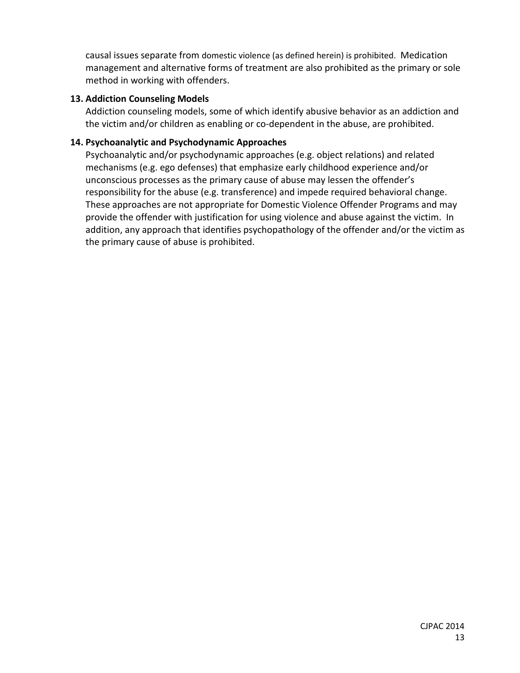causal issues separate from domestic violence (as defined herein) is prohibited. Medication management and alternative forms of treatment are also prohibited as the primary or sole method in working with offenders.

#### **13. Addiction Counseling Models**

Addiction counseling models, some of which identify abusive behavior as an addiction and the victim and/or children as enabling or co-dependent in the abuse, are prohibited.

#### **14. Psychoanalytic and Psychodynamic Approaches**

Psychoanalytic and/or psychodynamic approaches (e.g. object relations) and related mechanisms (e.g. ego defenses) that emphasize early childhood experience and/or unconscious processes as the primary cause of abuse may lessen the offender's responsibility for the abuse (e.g. transference) and impede required behavioral change. These approaches are not appropriate for Domestic Violence Offender Programs and may provide the offender with justification for using violence and abuse against the victim. In addition, any approach that identifies psychopathology of the offender and/or the victim as the primary cause of abuse is prohibited.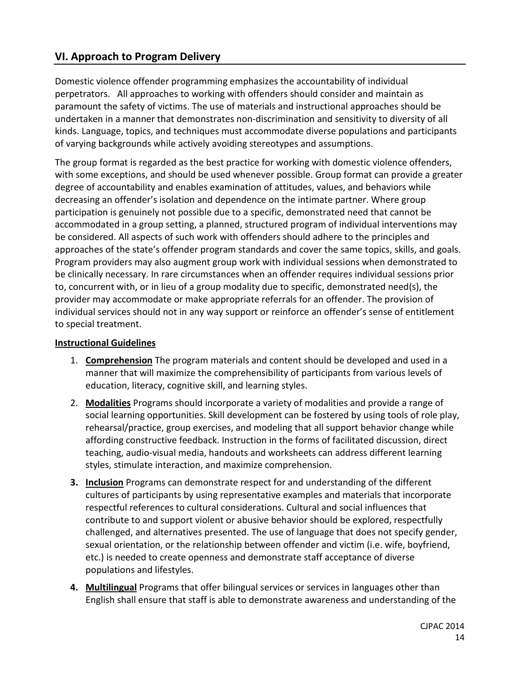# **VI. Approach to Program Delivery**

Domestic violence offender programming emphasizes the accountability of individual perpetrators. All approaches to working with offenders should consider and maintain as paramount the safety of victims. The use of materials and instructional approaches should be undertaken in a manner that demonstrates non-discrimination and sensitivity to diversity of all kinds. Language, topics, and techniques must accommodate diverse populations and participants of varying backgrounds while actively avoiding stereotypes and assumptions.

The group format is regarded as the best practice for working with domestic violence offenders, with some exceptions, and should be used whenever possible. Group format can provide a greater degree of accountability and enables examination of attitudes, values, and behaviors while decreasing an offender's isolation and dependence on the intimate partner. Where group participation is genuinely not possible due to a specific, demonstrated need that cannot be accommodated in a group setting, a planned, structured program of individual interventions may be considered. All aspects of such work with offenders should adhere to the principles and approaches of the state's offender program standards and cover the same topics, skills, and goals. Program providers may also augment group work with individual sessions when demonstrated to be clinically necessary. In rare circumstances when an offender requires individual sessions prior to, concurrent with, or in lieu of a group modality due to specific, demonstrated need(s), the provider may accommodate or make appropriate referrals for an offender. The provision of individual services should not in any way support or reinforce an offender's sense of entitlement to special treatment.

#### **Instructional Guidelines**

- 1. **Comprehension** The program materials and content should be developed and used in a manner that will maximize the comprehensibility of participants from various levels of education, literacy, cognitive skill, and learning styles.
- 2. **Modalities** Programs should incorporate a variety of modalities and provide a range of social learning opportunities. Skill development can be fostered by using tools of role play, rehearsal/practice, group exercises, and modeling that all support behavior change while affording constructive feedback. Instruction in the forms of facilitated discussion, direct teaching, audio-visual media, handouts and worksheets can address different learning styles, stimulate interaction, and maximize comprehension.
- **3. Inclusion** Programs can demonstrate respect for and understanding of the different cultures of participants by using representative examples and materials that incorporate respectful references to cultural considerations. Cultural and social influences that contribute to and support violent or abusive behavior should be explored, respectfully challenged, and alternatives presented. The use of language that does not specify gender, sexual orientation, or the relationship between offender and victim (i.e. wife, boyfriend, etc.) is needed to create openness and demonstrate staff acceptance of diverse populations and lifestyles.
- **4. Multilingual** Programs that offer bilingual services or services in languages other than English shall ensure that staff is able to demonstrate awareness and understanding of the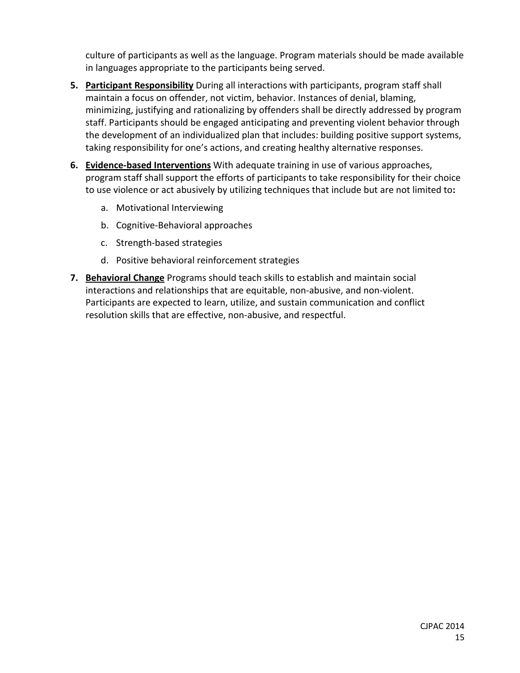culture of participants as well as the language. Program materials should be made available in languages appropriate to the participants being served.

- **5. Participant Responsibility** During all interactions with participants, program staff shall maintain a focus on offender, not victim, behavior. Instances of denial, blaming, minimizing, justifying and rationalizing by offenders shall be directly addressed by program staff. Participants should be engaged anticipating and preventing violent behavior through the development of an individualized plan that includes: building positive support systems, taking responsibility for one's actions, and creating healthy alternative responses.
- **6. Evidence-based Interventions** With adequate training in use of various approaches, program staff shall support the efforts of participants to take responsibility for their choice to use violence or act abusively by utilizing techniques that include but are not limited to**:**
	- a. Motivational Interviewing
	- b. Cognitive-Behavioral approaches
	- c. Strength-based strategies
	- d. Positive behavioral reinforcement strategies
- **7. Behavioral Change** Programs should teach skills to establish and maintain social interactions and relationships that are equitable, non-abusive, and non-violent. Participants are expected to learn, utilize, and sustain communication and conflict resolution skills that are effective, non-abusive, and respectful.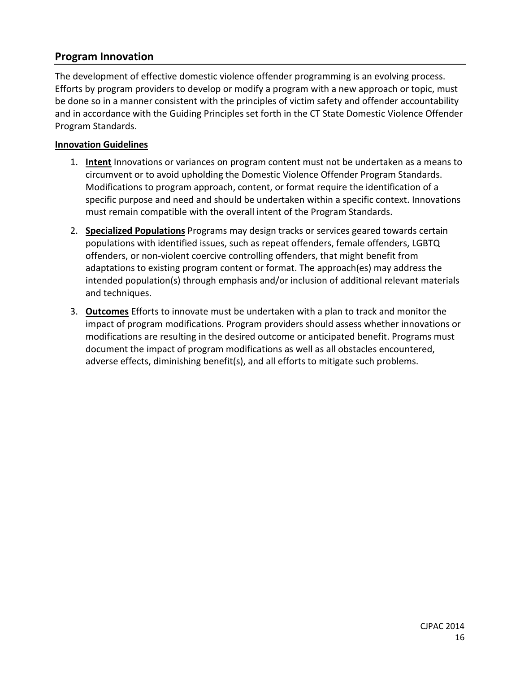# **Program Innovation**

The development of effective domestic violence offender programming is an evolving process. Efforts by program providers to develop or modify a program with a new approach or topic, must be done so in a manner consistent with the principles of victim safety and offender accountability and in accordance with the Guiding Principles set forth in the CT State Domestic Violence Offender Program Standards.

#### **Innovation Guidelines**

- 1. **Intent** Innovations or variances on program content must not be undertaken as a means to circumvent or to avoid upholding the Domestic Violence Offender Program Standards. Modifications to program approach, content, or format require the identification of a specific purpose and need and should be undertaken within a specific context. Innovations must remain compatible with the overall intent of the Program Standards.
- 2. **Specialized Populations** Programs may design tracks or services geared towards certain populations with identified issues, such as repeat offenders, female offenders, LGBTQ offenders, or non-violent coercive controlling offenders, that might benefit from adaptations to existing program content or format. The approach(es) may address the intended population(s) through emphasis and/or inclusion of additional relevant materials and techniques.
- 3. **Outcomes** Efforts to innovate must be undertaken with a plan to track and monitor the impact of program modifications. Program providers should assess whether innovations or modifications are resulting in the desired outcome or anticipated benefit. Programs must document the impact of program modifications as well as all obstacles encountered, adverse effects, diminishing benefit(s), and all efforts to mitigate such problems.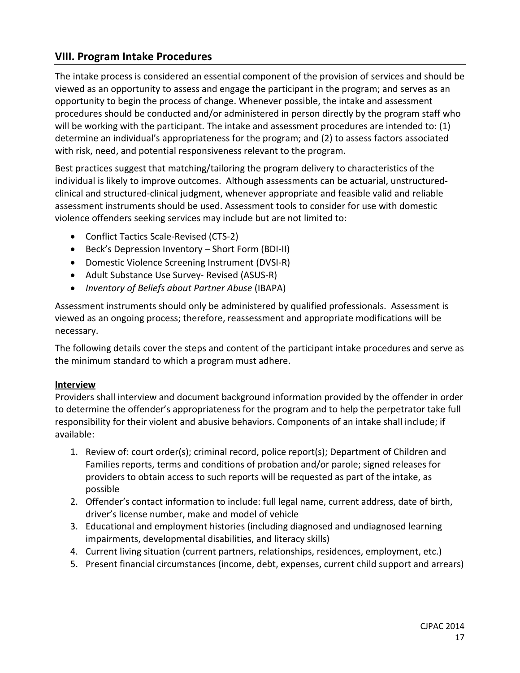# **VIII. Program Intake Procedures**

The intake process is considered an essential component of the provision of services and should be viewed as an opportunity to assess and engage the participant in the program; and serves as an opportunity to begin the process of change. Whenever possible, the intake and assessment procedures should be conducted and/or administered in person directly by the program staff who will be working with the participant. The intake and assessment procedures are intended to: (1) determine an individual's appropriateness for the program; and (2) to assess factors associated with risk, need, and potential responsiveness relevant to the program.

Best practices suggest that matching/tailoring the program delivery to characteristics of the individual is likely to improve outcomes. Although assessments can be actuarial, unstructuredclinical and structured-clinical judgment, whenever appropriate and feasible valid and reliable assessment instruments should be used. Assessment tools to consider for use with domestic violence offenders seeking services may include but are not limited to:

- Conflict Tactics Scale-Revised (CTS-2)
- Beck's Depression Inventory Short Form (BDI-II)
- Domestic Violence Screening Instrument (DVSI-R)
- Adult Substance Use Survey- Revised (ASUS-R)
- *Inventory of Beliefs about Partner Abuse* (IBAPA)

Assessment instruments should only be administered by qualified professionals. Assessment is viewed as an ongoing process; therefore, reassessment and appropriate modifications will be necessary.

The following details cover the steps and content of the participant intake procedures and serve as the minimum standard to which a program must adhere.

#### **Interview**

Providers shall interview and document background information provided by the offender in order to determine the offender's appropriateness for the program and to help the perpetrator take full responsibility for their violent and abusive behaviors. Components of an intake shall include; if available:

- 1. Review of: court order(s); criminal record, police report(s); Department of Children and Families reports, terms and conditions of probation and/or parole; signed releases for providers to obtain access to such reports will be requested as part of the intake, as possible
- 2. Offender's contact information to include: full legal name, current address, date of birth, driver's license number, make and model of vehicle
- 3. Educational and employment histories (including diagnosed and undiagnosed learning impairments, developmental disabilities, and literacy skills)
- 4. Current living situation (current partners, relationships, residences, employment, etc.)
- 5. Present financial circumstances (income, debt, expenses, current child support and arrears)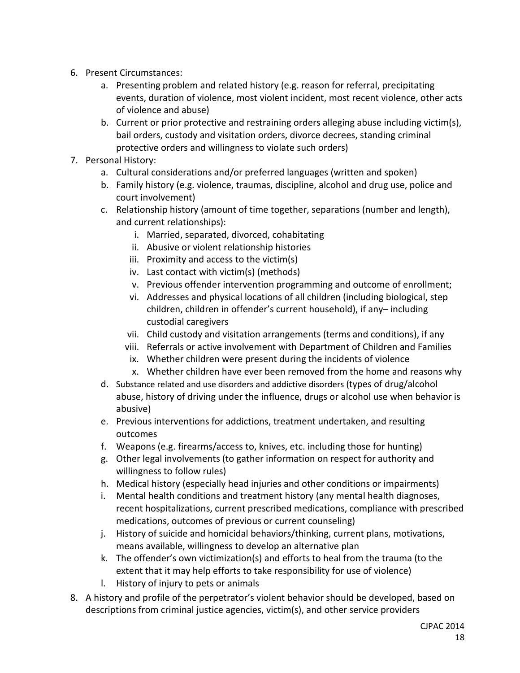- 6. Present Circumstances:
	- a. Presenting problem and related history (e.g. reason for referral, precipitating events, duration of violence, most violent incident, most recent violence, other acts of violence and abuse)
	- b. Current or prior protective and restraining orders alleging abuse including victim(s), bail orders, custody and visitation orders, divorce decrees, standing criminal protective orders and willingness to violate such orders)
- 7. Personal History:
	- a. Cultural considerations and/or preferred languages (written and spoken)
	- b. Family history (e.g. violence, traumas, discipline, alcohol and drug use, police and court involvement)
	- c. Relationship history (amount of time together, separations (number and length), and current relationships):
		- i. Married, separated, divorced, cohabitating
		- ii. Abusive or violent relationship histories
		- iii. Proximity and access to the victim(s)
		- iv. Last contact with victim(s) (methods)
		- v. Previous offender intervention programming and outcome of enrollment;
		- vi. Addresses and physical locations of all children (including biological, step children, children in offender's current household), if any– including custodial caregivers
		- vii. Child custody and visitation arrangements (terms and conditions), if any
		- viii. Referrals or active involvement with Department of Children and Families
		- ix. Whether children were present during the incidents of violence
		- x. Whether children have ever been removed from the home and reasons why
	- d. Substance related and use disorders and addictive disorders (types of drug/alcohol abuse, history of driving under the influence, drugs or alcohol use when behavior is abusive)
	- e. Previous interventions for addictions, treatment undertaken, and resulting outcomes
	- f. Weapons (e.g. firearms/access to, knives, etc. including those for hunting)
	- g. Other legal involvements (to gather information on respect for authority and willingness to follow rules)
	- h. Medical history (especially head injuries and other conditions or impairments)
	- i. Mental health conditions and treatment history (any mental health diagnoses, recent hospitalizations, current prescribed medications, compliance with prescribed medications, outcomes of previous or current counseling)
	- j. History of suicide and homicidal behaviors/thinking, current plans, motivations, means available, willingness to develop an alternative plan
	- k. The offender's own victimization(s) and efforts to heal from the trauma (to the extent that it may help efforts to take responsibility for use of violence)
	- l. History of injury to pets or animals
- 8. A history and profile of the perpetrator's violent behavior should be developed, based on descriptions from criminal justice agencies, victim(s), and other service providers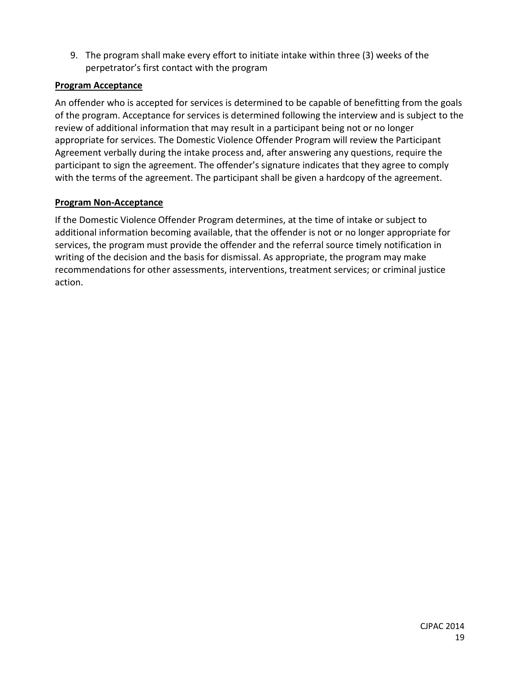9. The program shall make every effort to initiate intake within three (3) weeks of the perpetrator's first contact with the program

#### **Program Acceptance**

An offender who is accepted for services is determined to be capable of benefitting from the goals of the program. Acceptance for services is determined following the interview and is subject to the review of additional information that may result in a participant being not or no longer appropriate for services. The Domestic Violence Offender Program will review the Participant Agreement verbally during the intake process and, after answering any questions, require the participant to sign the agreement. The offender's signature indicates that they agree to comply with the terms of the agreement. The participant shall be given a hardcopy of the agreement.

# **Program Non-Acceptance**

If the Domestic Violence Offender Program determines, at the time of intake or subject to additional information becoming available, that the offender is not or no longer appropriate for services, the program must provide the offender and the referral source timely notification in writing of the decision and the basis for dismissal. As appropriate, the program may make recommendations for other assessments, interventions, treatment services; or criminal justice action.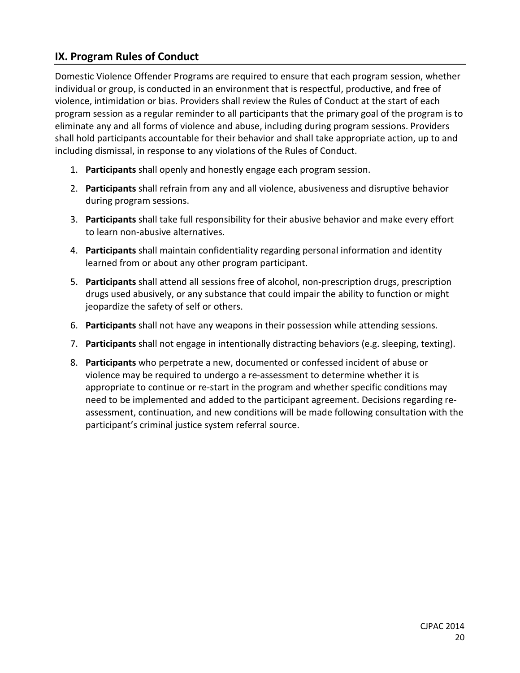# **IX. Program Rules of Conduct**

Domestic Violence Offender Programs are required to ensure that each program session, whether individual or group, is conducted in an environment that is respectful, productive, and free of violence, intimidation or bias. Providers shall review the Rules of Conduct at the start of each program session as a regular reminder to all participants that the primary goal of the program is to eliminate any and all forms of violence and abuse, including during program sessions. Providers shall hold participants accountable for their behavior and shall take appropriate action, up to and including dismissal, in response to any violations of the Rules of Conduct.

- 1. **Participants** shall openly and honestly engage each program session.
- 2. **Participants** shall refrain from any and all violence, abusiveness and disruptive behavior during program sessions.
- 3. **Participants** shall take full responsibility for their abusive behavior and make every effort to learn non-abusive alternatives.
- 4. **Participants** shall maintain confidentiality regarding personal information and identity learned from or about any other program participant.
- 5. **Participants** shall attend all sessions free of alcohol, non-prescription drugs, prescription drugs used abusively, or any substance that could impair the ability to function or might jeopardize the safety of self or others.
- 6. **Participants** shall not have any weapons in their possession while attending sessions.
- 7. **Participants** shall not engage in intentionally distracting behaviors (e.g. sleeping, texting).
- 8. **Participants** who perpetrate a new, documented or confessed incident of abuse or violence may be required to undergo a re-assessment to determine whether it is appropriate to continue or re-start in the program and whether specific conditions may need to be implemented and added to the participant agreement. Decisions regarding reassessment, continuation, and new conditions will be made following consultation with the participant's criminal justice system referral source.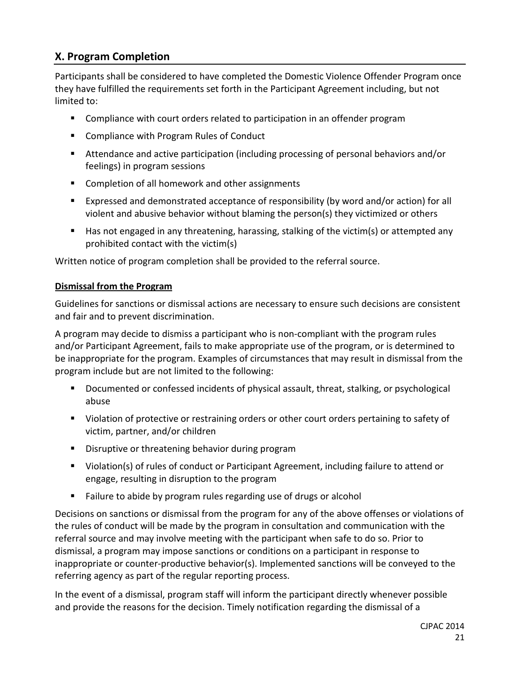# **X. Program Completion**

Participants shall be considered to have completed the Domestic Violence Offender Program once they have fulfilled the requirements set forth in the Participant Agreement including, but not limited to:

- Compliance with court orders related to participation in an offender program
- Compliance with Program Rules of Conduct
- Attendance and active participation (including processing of personal behaviors and/or feelings) in program sessions
- Completion of all homework and other assignments
- Expressed and demonstrated acceptance of responsibility (by word and/or action) for all violent and abusive behavior without blaming the person(s) they victimized or others
- Has not engaged in any threatening, harassing, stalking of the victim(s) or attempted any prohibited contact with the victim(s)

Written notice of program completion shall be provided to the referral source.

#### **Dismissal from the Program**

Guidelines for sanctions or dismissal actions are necessary to ensure such decisions are consistent and fair and to prevent discrimination.

A program may decide to dismiss a participant who is non-compliant with the program rules and/or Participant Agreement, fails to make appropriate use of the program, or is determined to be inappropriate for the program. Examples of circumstances that may result in dismissal from the program include but are not limited to the following:

- Documented or confessed incidents of physical assault, threat, stalking, or psychological abuse
- Violation of protective or restraining orders or other court orders pertaining to safety of victim, partner, and/or children
- **Disruptive or threatening behavior during program**
- Violation(s) of rules of conduct or Participant Agreement, including failure to attend or engage, resulting in disruption to the program
- **Failure to abide by program rules regarding use of drugs or alcohol**

Decisions on sanctions or dismissal from the program for any of the above offenses or violations of the rules of conduct will be made by the program in consultation and communication with the referral source and may involve meeting with the participant when safe to do so. Prior to dismissal, a program may impose sanctions or conditions on a participant in response to inappropriate or counter-productive behavior(s). Implemented sanctions will be conveyed to the referring agency as part of the regular reporting process.

In the event of a dismissal, program staff will inform the participant directly whenever possible and provide the reasons for the decision. Timely notification regarding the dismissal of a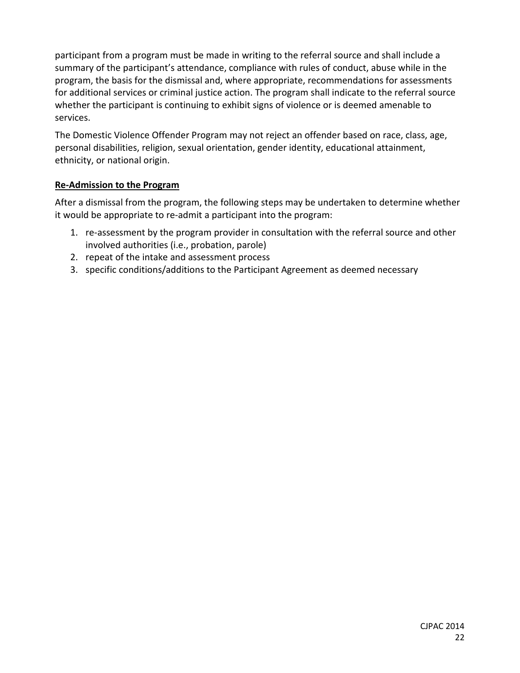participant from a program must be made in writing to the referral source and shall include a summary of the participant's attendance, compliance with rules of conduct, abuse while in the program, the basis for the dismissal and, where appropriate, recommendations for assessments for additional services or criminal justice action. The program shall indicate to the referral source whether the participant is continuing to exhibit signs of violence or is deemed amenable to services.

The Domestic Violence Offender Program may not reject an offender based on race, class, age, personal disabilities, religion, sexual orientation, gender identity, educational attainment, ethnicity, or national origin.

#### **Re-Admission to the Program**

After a dismissal from the program, the following steps may be undertaken to determine whether it would be appropriate to re-admit a participant into the program:

- 1. re-assessment by the program provider in consultation with the referral source and other involved authorities (i.e., probation, parole)
- 2. repeat of the intake and assessment process
- 3. specific conditions/additions to the Participant Agreement as deemed necessary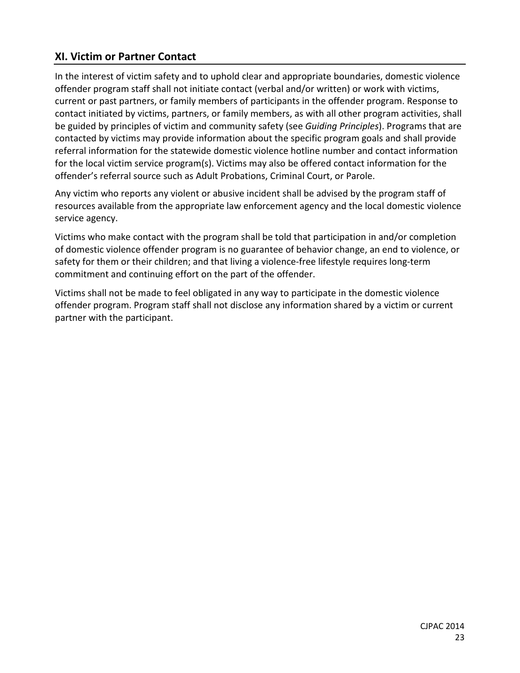# **XI. Victim or Partner Contact**

In the interest of victim safety and to uphold clear and appropriate boundaries, domestic violence offender program staff shall not initiate contact (verbal and/or written) or work with victims, current or past partners, or family members of participants in the offender program. Response to contact initiated by victims, partners, or family members, as with all other program activities, shall be guided by principles of victim and community safety (see *Guiding Principles*). Programs that are contacted by victims may provide information about the specific program goals and shall provide referral information for the statewide domestic violence hotline number and contact information for the local victim service program(s). Victims may also be offered contact information for the offender's referral source such as Adult Probations, Criminal Court, or Parole.

Any victim who reports any violent or abusive incident shall be advised by the program staff of resources available from the appropriate law enforcement agency and the local domestic violence service agency.

Victims who make contact with the program shall be told that participation in and/or completion of domestic violence offender program is no guarantee of behavior change, an end to violence, or safety for them or their children; and that living a violence-free lifestyle requires long-term commitment and continuing effort on the part of the offender.

Victims shall not be made to feel obligated in any way to participate in the domestic violence offender program. Program staff shall not disclose any information shared by a victim or current partner with the participant.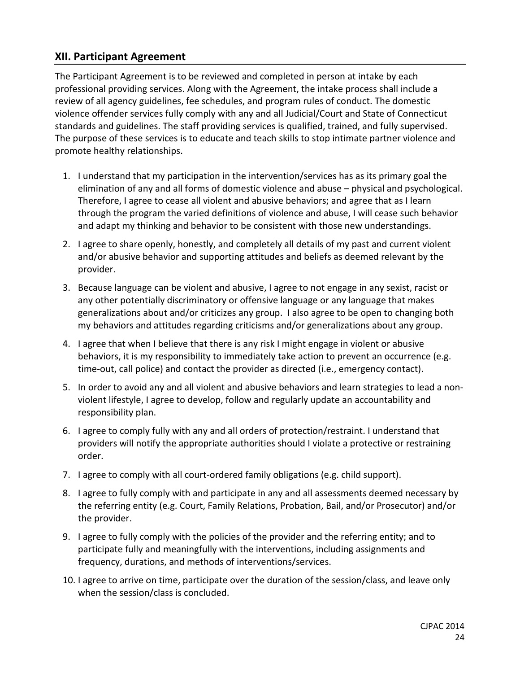# **XII. Participant Agreement**

The Participant Agreement is to be reviewed and completed in person at intake by each professional providing services. Along with the Agreement, the intake process shall include a review of all agency guidelines, fee schedules, and program rules of conduct. The domestic violence offender services fully comply with any and all Judicial/Court and State of Connecticut standards and guidelines. The staff providing services is qualified, trained, and fully supervised. The purpose of these services is to educate and teach skills to stop intimate partner violence and promote healthy relationships.

- 1. I understand that my participation in the intervention/services has as its primary goal the elimination of any and all forms of domestic violence and abuse – physical and psychological. Therefore, I agree to cease all violent and abusive behaviors; and agree that as I learn through the program the varied definitions of violence and abuse, I will cease such behavior and adapt my thinking and behavior to be consistent with those new understandings.
- 2. I agree to share openly, honestly, and completely all details of my past and current violent and/or abusive behavior and supporting attitudes and beliefs as deemed relevant by the provider.
- 3. Because language can be violent and abusive, I agree to not engage in any sexist, racist or any other potentially discriminatory or offensive language or any language that makes generalizations about and/or criticizes any group. I also agree to be open to changing both my behaviors and attitudes regarding criticisms and/or generalizations about any group.
- 4. I agree that when I believe that there is any risk I might engage in violent or abusive behaviors, it is my responsibility to immediately take action to prevent an occurrence (e.g. time-out, call police) and contact the provider as directed (i.e., emergency contact).
- 5. In order to avoid any and all violent and abusive behaviors and learn strategies to lead a nonviolent lifestyle, I agree to develop, follow and regularly update an accountability and responsibility plan.
- 6. I agree to comply fully with any and all orders of protection/restraint. I understand that providers will notify the appropriate authorities should I violate a protective or restraining order.
- 7. I agree to comply with all court-ordered family obligations (e.g. child support).
- 8. I agree to fully comply with and participate in any and all assessments deemed necessary by the referring entity (e.g. Court, Family Relations, Probation, Bail, and/or Prosecutor) and/or the provider.
- 9. I agree to fully comply with the policies of the provider and the referring entity; and to participate fully and meaningfully with the interventions, including assignments and frequency, durations, and methods of interventions/services.
- 10. I agree to arrive on time, participate over the duration of the session/class, and leave only when the session/class is concluded.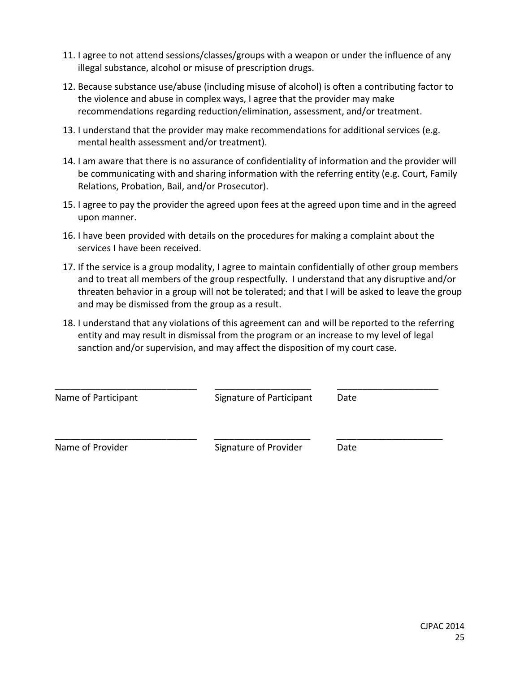- 11. I agree to not attend sessions/classes/groups with a weapon or under the influence of any illegal substance, alcohol or misuse of prescription drugs.
- 12. Because substance use/abuse (including misuse of alcohol) is often a contributing factor to the violence and abuse in complex ways, I agree that the provider may make recommendations regarding reduction/elimination, assessment, and/or treatment.
- 13. I understand that the provider may make recommendations for additional services (e.g. mental health assessment and/or treatment).
- 14. I am aware that there is no assurance of confidentiality of information and the provider will be communicating with and sharing information with the referring entity (e.g. Court, Family Relations, Probation, Bail, and/or Prosecutor).
- 15. I agree to pay the provider the agreed upon fees at the agreed upon time and in the agreed upon manner.
- 16. I have been provided with details on the procedures for making a complaint about the services I have been received.
- 17. If the service is a group modality, I agree to maintain confidentially of other group members and to treat all members of the group respectfully. I understand that any disruptive and/or threaten behavior in a group will not be tolerated; and that I will be asked to leave the group and may be dismissed from the group as a result.
- 18. I understand that any violations of this agreement can and will be reported to the referring entity and may result in dismissal from the program or an increase to my level of legal sanction and/or supervision, and may affect the disposition of my court case.

| Name of Participant | Signature of Participant | Date |  |
|---------------------|--------------------------|------|--|
| Name of Provider    | Signature of Provider    | Date |  |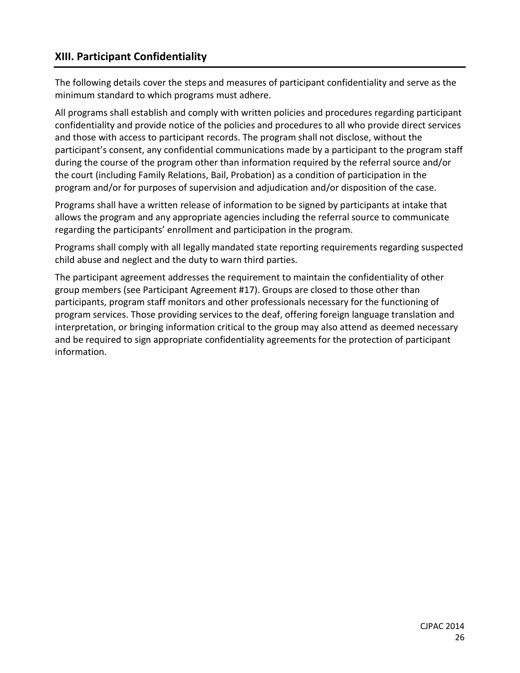# **XIII. Participant Confidentiality**

The following details cover the steps and measures of participant confidentiality and serve as the minimum standard to which programs must adhere.

All programs shall establish and comply with written policies and procedures regarding participant confidentiality and provide notice of the policies and procedures to all who provide direct services and those with access to participant records. The program shall not disclose, without the participant's consent, any confidential communications made by a participant to the program staff during the course of the program other than information required by the referral source and/or the court (including Family Relations, Bail, Probation) as a condition of participation in the program and/or for purposes of supervision and adjudication and/or disposition of the case.

Programs shall have a written release of information to be signed by participants at intake that allows the program and any appropriate agencies including the referral source to communicate regarding the participants' enrollment and participation in the program.

Programs shall comply with all legally mandated state reporting requirements regarding suspected child abuse and neglect and the duty to warn third parties.

The participant agreement addresses the requirement to maintain the confidentiality of other group members (see Participant Agreement #17). Groups are closed to those other than participants, program staff monitors and other professionals necessary for the functioning of program services. Those providing services to the deaf, offering foreign language translation and interpretation, or bringing information critical to the group may also attend as deemed necessary and be required to sign appropriate confidentiality agreements for the protection of participant information.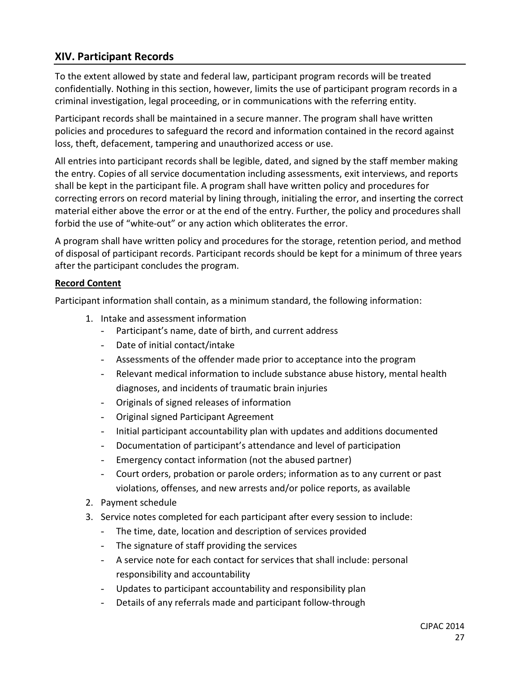# **XIV. Participant Records**

To the extent allowed by state and federal law, participant program records will be treated confidentially. Nothing in this section, however, limits the use of participant program records in a criminal investigation, legal proceeding, or in communications with the referring entity.

Participant records shall be maintained in a secure manner. The program shall have written policies and procedures to safeguard the record and information contained in the record against loss, theft, defacement, tampering and unauthorized access or use.

All entries into participant records shall be legible, dated, and signed by the staff member making the entry. Copies of all service documentation including assessments, exit interviews, and reports shall be kept in the participant file. A program shall have written policy and procedures for correcting errors on record material by lining through, initialing the error, and inserting the correct material either above the error or at the end of the entry. Further, the policy and procedures shall forbid the use of "white-out" or any action which obliterates the error.

A program shall have written policy and procedures for the storage, retention period, and method of disposal of participant records. Participant records should be kept for a minimum of three years after the participant concludes the program.

# **Record Content**

Participant information shall contain, as a minimum standard, the following information:

- 1. Intake and assessment information
	- Participant's name, date of birth, and current address
	- Date of initial contact/intake
	- Assessments of the offender made prior to acceptance into the program
	- Relevant medical information to include substance abuse history, mental health diagnoses, and incidents of traumatic brain injuries
	- Originals of signed releases of information
	- Original signed Participant Agreement
	- Initial participant accountability plan with updates and additions documented
	- Documentation of participant's attendance and level of participation
	- Emergency contact information (not the abused partner)
	- Court orders, probation or parole orders; information as to any current or past violations, offenses, and new arrests and/or police reports, as available
- 2. Payment schedule
- 3. Service notes completed for each participant after every session to include:
	- The time, date, location and description of services provided
	- The signature of staff providing the services
	- A service note for each contact for services that shall include: personal responsibility and accountability
	- Updates to participant accountability and responsibility plan
	- Details of any referrals made and participant follow-through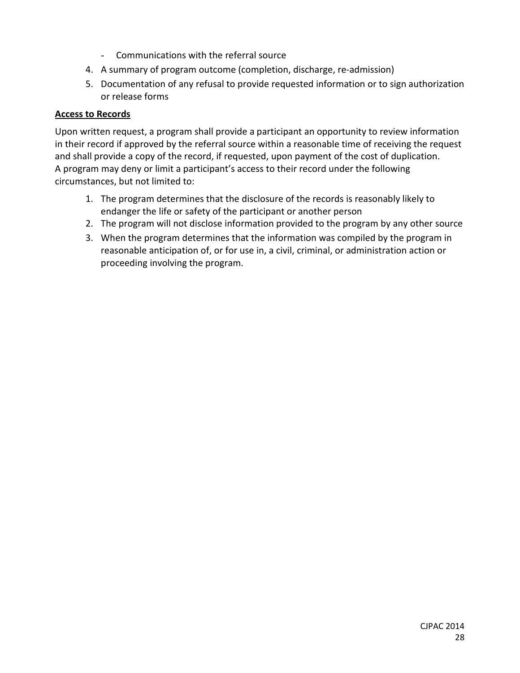- Communications with the referral source
- 4. A summary of program outcome (completion, discharge, re-admission)
- 5. Documentation of any refusal to provide requested information or to sign authorization or release forms

# **Access to Records**

Upon written request, a program shall provide a participant an opportunity to review information in their record if approved by the referral source within a reasonable time of receiving the request and shall provide a copy of the record, if requested, upon payment of the cost of duplication. A program may deny or limit a participant's access to their record under the following circumstances, but not limited to:

- 1. The program determines that the disclosure of the records is reasonably likely to endanger the life or safety of the participant or another person
- 2. The program will not disclose information provided to the program by any other source
- 3. When the program determines that the information was compiled by the program in reasonable anticipation of, or for use in, a civil, criminal, or administration action or proceeding involving the program.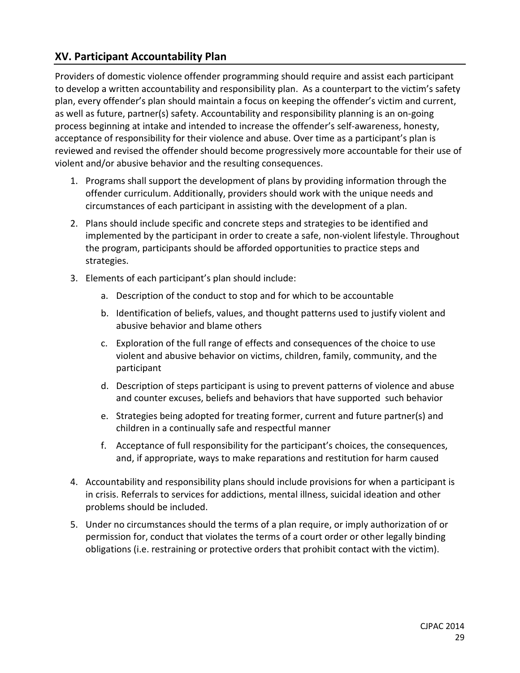# **XV. Participant Accountability Plan**

Providers of domestic violence offender programming should require and assist each participant to develop a written accountability and responsibility plan. As a counterpart to the victim's safety plan, every offender's plan should maintain a focus on keeping the offender's victim and current, as well as future, partner(s) safety. Accountability and responsibility planning is an on-going process beginning at intake and intended to increase the offender's self-awareness, honesty, acceptance of responsibility for their violence and abuse. Over time as a participant's plan is reviewed and revised the offender should become progressively more accountable for their use of violent and/or abusive behavior and the resulting consequences.

- 1. Programs shall support the development of plans by providing information through the offender curriculum. Additionally, providers should work with the unique needs and circumstances of each participant in assisting with the development of a plan.
- 2. Plans should include specific and concrete steps and strategies to be identified and implemented by the participant in order to create a safe, non-violent lifestyle. Throughout the program, participants should be afforded opportunities to practice steps and strategies.
- 3. Elements of each participant's plan should include:
	- a. Description of the conduct to stop and for which to be accountable
	- b. Identification of beliefs, values, and thought patterns used to justify violent and abusive behavior and blame others
	- c. Exploration of the full range of effects and consequences of the choice to use violent and abusive behavior on victims, children, family, community, and the participant
	- d. Description of steps participant is using to prevent patterns of violence and abuse and counter excuses, beliefs and behaviors that have supported such behavior
	- e. Strategies being adopted for treating former, current and future partner(s) and children in a continually safe and respectful manner
	- f. Acceptance of full responsibility for the participant's choices, the consequences, and, if appropriate, ways to make reparations and restitution for harm caused
- 4. Accountability and responsibility plans should include provisions for when a participant is in crisis. Referrals to services for addictions, mental illness, suicidal ideation and other problems should be included.
- 5. Under no circumstances should the terms of a plan require, or imply authorization of or permission for, conduct that violates the terms of a court order or other legally binding obligations (i.e. restraining or protective orders that prohibit contact with the victim).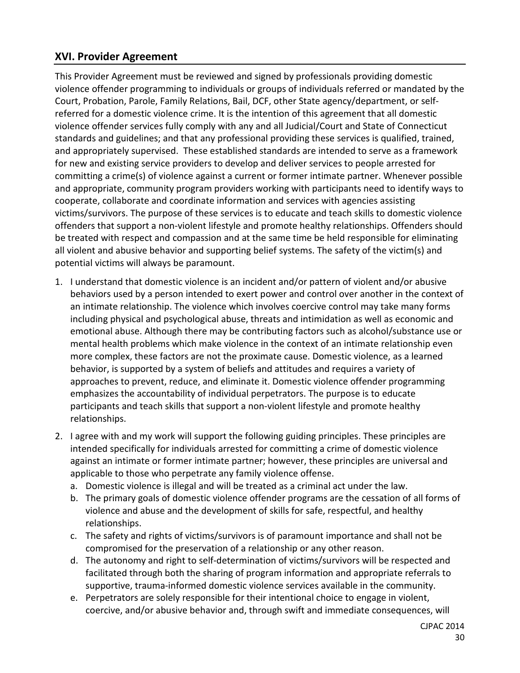# **XVI. Provider Agreement**

This Provider Agreement must be reviewed and signed by professionals providing domestic violence offender programming to individuals or groups of individuals referred or mandated by the Court, Probation, Parole, Family Relations, Bail, DCF, other State agency/department, or selfreferred for a domestic violence crime. It is the intention of this agreement that all domestic violence offender services fully comply with any and all Judicial/Court and State of Connecticut standards and guidelines; and that any professional providing these services is qualified, trained, and appropriately supervised. These established standards are intended to serve as a framework for new and existing service providers to develop and deliver services to people arrested for committing a crime(s) of violence against a current or former intimate partner. Whenever possible and appropriate, community program providers working with participants need to identify ways to cooperate, collaborate and coordinate information and services with agencies assisting victims/survivors. The purpose of these services is to educate and teach skills to domestic violence offenders that support a non-violent lifestyle and promote healthy relationships. Offenders should be treated with respect and compassion and at the same time be held responsible for eliminating all violent and abusive behavior and supporting belief systems. The safety of the victim(s) and potential victims will always be paramount.

- 1. I understand that domestic violence is an incident and/or pattern of violent and/or abusive behaviors used by a person intended to exert power and control over another in the context of an intimate relationship. The violence which involves coercive control may take many forms including physical and psychological abuse, threats and intimidation as well as economic and emotional abuse. Although there may be contributing factors such as alcohol/substance use or mental health problems which make violence in the context of an intimate relationship even more complex, these factors are not the proximate cause. Domestic violence, as a learned behavior, is supported by a system of beliefs and attitudes and requires a variety of approaches to prevent, reduce, and eliminate it. Domestic violence offender programming emphasizes the accountability of individual perpetrators. The purpose is to educate participants and teach skills that support a non-violent lifestyle and promote healthy relationships.
- 2. I agree with and my work will support the following guiding principles. These principles are intended specifically for individuals arrested for committing a crime of domestic violence against an intimate or former intimate partner; however, these principles are universal and applicable to those who perpetrate any family violence offense.
	- a. Domestic violence is illegal and will be treated as a criminal act under the law.
	- b. The primary goals of domestic violence offender programs are the cessation of all forms of violence and abuse and the development of skills for safe, respectful, and healthy relationships.
	- c. The safety and rights of victims/survivors is of paramount importance and shall not be compromised for the preservation of a relationship or any other reason.
	- d. The autonomy and right to self-determination of victims/survivors will be respected and facilitated through both the sharing of program information and appropriate referrals to supportive, trauma-informed domestic violence services available in the community.
	- e. Perpetrators are solely responsible for their intentional choice to engage in violent, coercive, and/or abusive behavior and, through swift and immediate consequences, will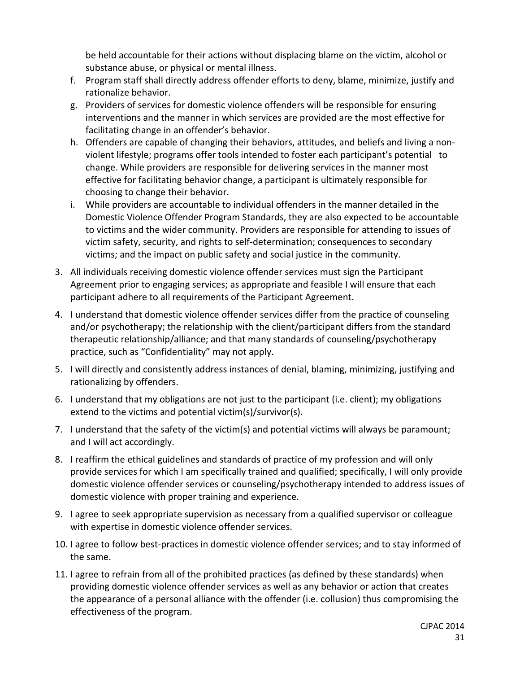be held accountable for their actions without displacing blame on the victim, alcohol or substance abuse, or physical or mental illness.

- f. Program staff shall directly address offender efforts to deny, blame, minimize, justify and rationalize behavior.
- g. Providers of services for domestic violence offenders will be responsible for ensuring interventions and the manner in which services are provided are the most effective for facilitating change in an offender's behavior.
- h. Offenders are capable of changing their behaviors, attitudes, and beliefs and living a nonviolent lifestyle; programs offer tools intended to foster each participant's potential to change. While providers are responsible for delivering services in the manner most effective for facilitating behavior change, a participant is ultimately responsible for choosing to change their behavior.
- i. While providers are accountable to individual offenders in the manner detailed in the Domestic Violence Offender Program Standards, they are also expected to be accountable to victims and the wider community. Providers are responsible for attending to issues of victim safety, security, and rights to self-determination; consequences to secondary victims; and the impact on public safety and social justice in the community.
- 3. All individuals receiving domestic violence offender services must sign the Participant Agreement prior to engaging services; as appropriate and feasible I will ensure that each participant adhere to all requirements of the Participant Agreement.
- 4. I understand that domestic violence offender services differ from the practice of counseling and/or psychotherapy; the relationship with the client/participant differs from the standard therapeutic relationship/alliance; and that many standards of counseling/psychotherapy practice, such as "Confidentiality" may not apply.
- 5. I will directly and consistently address instances of denial, blaming, minimizing, justifying and rationalizing by offenders.
- 6. I understand that my obligations are not just to the participant (i.e. client); my obligations extend to the victims and potential victim(s)/survivor(s).
- 7. I understand that the safety of the victim(s) and potential victims will always be paramount; and I will act accordingly.
- 8. I reaffirm the ethical guidelines and standards of practice of my profession and will only provide services for which I am specifically trained and qualified; specifically, I will only provide domestic violence offender services or counseling/psychotherapy intended to address issues of domestic violence with proper training and experience.
- 9. I agree to seek appropriate supervision as necessary from a qualified supervisor or colleague with expertise in domestic violence offender services.
- 10. I agree to follow best-practices in domestic violence offender services; and to stay informed of the same.
- 11. I agree to refrain from all of the prohibited practices (as defined by these standards) when providing domestic violence offender services as well as any behavior or action that creates the appearance of a personal alliance with the offender (i.e. collusion) thus compromising the effectiveness of the program.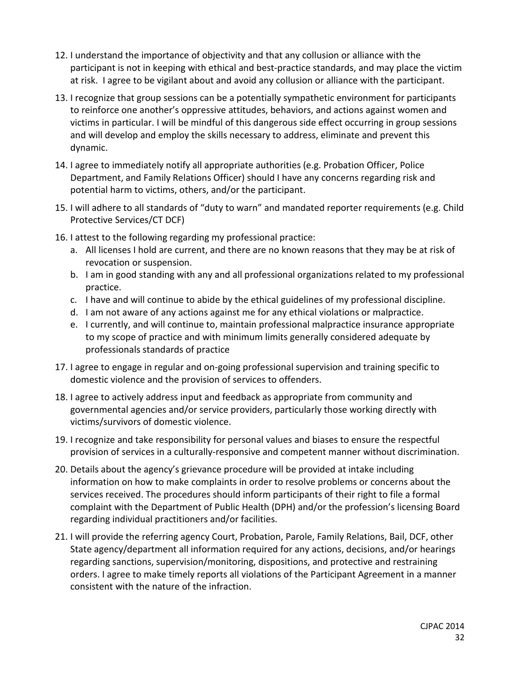- 12. I understand the importance of objectivity and that any collusion or alliance with the participant is not in keeping with ethical and best-practice standards, and may place the victim at risk. I agree to be vigilant about and avoid any collusion or alliance with the participant.
- 13. I recognize that group sessions can be a potentially sympathetic environment for participants to reinforce one another's oppressive attitudes, behaviors, and actions against women and victims in particular. I will be mindful of this dangerous side effect occurring in group sessions and will develop and employ the skills necessary to address, eliminate and prevent this dynamic.
- 14. I agree to immediately notify all appropriate authorities (e.g. Probation Officer, Police Department, and Family Relations Officer) should I have any concerns regarding risk and potential harm to victims, others, and/or the participant.
- 15. I will adhere to all standards of "duty to warn" and mandated reporter requirements (e.g. Child Protective Services/CT DCF)
- 16. I attest to the following regarding my professional practice:
	- a. All licenses I hold are current, and there are no known reasons that they may be at risk of revocation or suspension.
	- b. I am in good standing with any and all professional organizations related to my professional practice.
	- c. I have and will continue to abide by the ethical guidelines of my professional discipline.
	- d. I am not aware of any actions against me for any ethical violations or malpractice.
	- e. I currently, and will continue to, maintain professional malpractice insurance appropriate to my scope of practice and with minimum limits generally considered adequate by professionals standards of practice
- 17. I agree to engage in regular and on-going professional supervision and training specific to domestic violence and the provision of services to offenders.
- 18. I agree to actively address input and feedback as appropriate from community and governmental agencies and/or service providers, particularly those working directly with victims/survivors of domestic violence.
- 19. I recognize and take responsibility for personal values and biases to ensure the respectful provision of services in a culturally-responsive and competent manner without discrimination.
- 20. Details about the agency's grievance procedure will be provided at intake including information on how to make complaints in order to resolve problems or concerns about the services received. The procedures should inform participants of their right to file a formal complaint with the Department of Public Health (DPH) and/or the profession's licensing Board regarding individual practitioners and/or facilities.
- 21. I will provide the referring agency Court, Probation, Parole, Family Relations, Bail, DCF, other State agency/department all information required for any actions, decisions, and/or hearings regarding sanctions, supervision/monitoring, dispositions, and protective and restraining orders. I agree to make timely reports all violations of the Participant Agreement in a manner consistent with the nature of the infraction.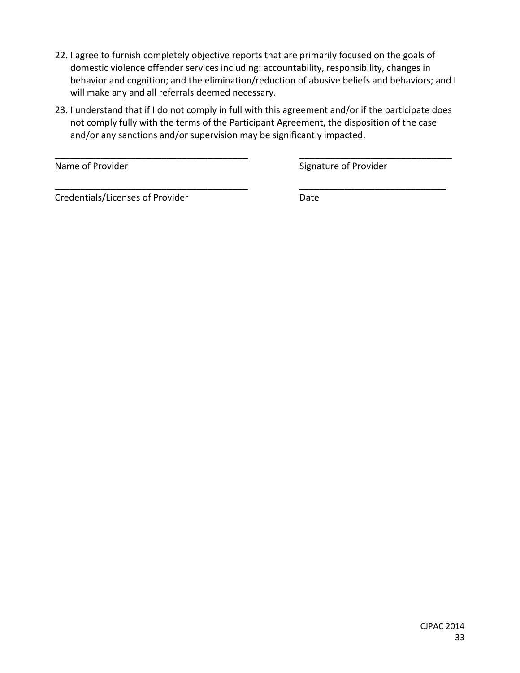- 22. I agree to furnish completely objective reports that are primarily focused on the goals of domestic violence offender services including: accountability, responsibility, changes in behavior and cognition; and the elimination/reduction of abusive beliefs and behaviors; and I will make any and all referrals deemed necessary.
- 23. I understand that if I do not comply in full with this agreement and/or if the participate does not comply fully with the terms of the Participant Agreement, the disposition of the case and/or any sanctions and/or supervision may be significantly impacted.

\_\_\_\_\_\_\_\_\_\_\_\_\_\_\_\_\_\_\_\_\_\_\_\_\_\_\_\_\_\_\_\_\_\_\_\_\_\_ \_\_\_\_\_\_\_\_\_\_\_\_\_\_\_\_\_\_\_\_\_\_\_\_\_\_\_\_\_\_

\_\_\_\_\_\_\_\_\_\_\_\_\_\_\_\_\_\_\_\_\_\_\_\_\_\_\_\_\_\_\_\_\_\_\_\_\_\_ \_\_\_\_\_\_\_\_\_\_\_\_\_\_\_\_\_\_\_\_\_\_\_\_\_\_\_\_\_

Name of Provider Name of Provider Signature of Provider

Credentials/Licenses of Provider **Date** Date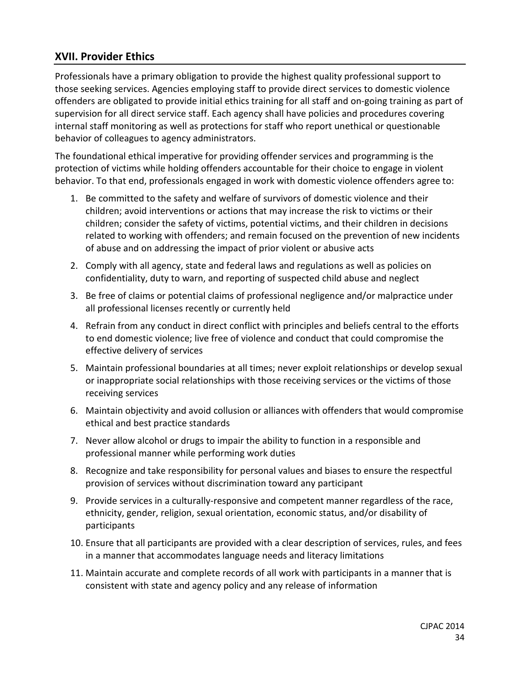# **XVII. Provider Ethics**

Professionals have a primary obligation to provide the highest quality professional support to those seeking services. Agencies employing staff to provide direct services to domestic violence offenders are obligated to provide initial ethics training for all staff and on-going training as part of supervision for all direct service staff. Each agency shall have policies and procedures covering internal staff monitoring as well as protections for staff who report unethical or questionable behavior of colleagues to agency administrators.

The foundational ethical imperative for providing offender services and programming is the protection of victims while holding offenders accountable for their choice to engage in violent behavior. To that end, professionals engaged in work with domestic violence offenders agree to:

- 1. Be committed to the safety and welfare of survivors of domestic violence and their children; avoid interventions or actions that may increase the risk to victims or their children; consider the safety of victims, potential victims, and their children in decisions related to working with offenders; and remain focused on the prevention of new incidents of abuse and on addressing the impact of prior violent or abusive acts
- 2. Comply with all agency, state and federal laws and regulations as well as policies on confidentiality, duty to warn, and reporting of suspected child abuse and neglect
- 3. Be free of claims or potential claims of professional negligence and/or malpractice under all professional licenses recently or currently held
- 4. Refrain from any conduct in direct conflict with principles and beliefs central to the efforts to end domestic violence; live free of violence and conduct that could compromise the effective delivery of services
- 5. Maintain professional boundaries at all times; never exploit relationships or develop sexual or inappropriate social relationships with those receiving services or the victims of those receiving services
- 6. Maintain objectivity and avoid collusion or alliances with offenders that would compromise ethical and best practice standards
- 7. Never allow alcohol or drugs to impair the ability to function in a responsible and professional manner while performing work duties
- 8. Recognize and take responsibility for personal values and biases to ensure the respectful provision of services without discrimination toward any participant
- 9. Provide services in a culturally-responsive and competent manner regardless of the race, ethnicity, gender, religion, sexual orientation, economic status, and/or disability of participants
- 10. Ensure that all participants are provided with a clear description of services, rules, and fees in a manner that accommodates language needs and literacy limitations
- 11. Maintain accurate and complete records of all work with participants in a manner that is consistent with state and agency policy and any release of information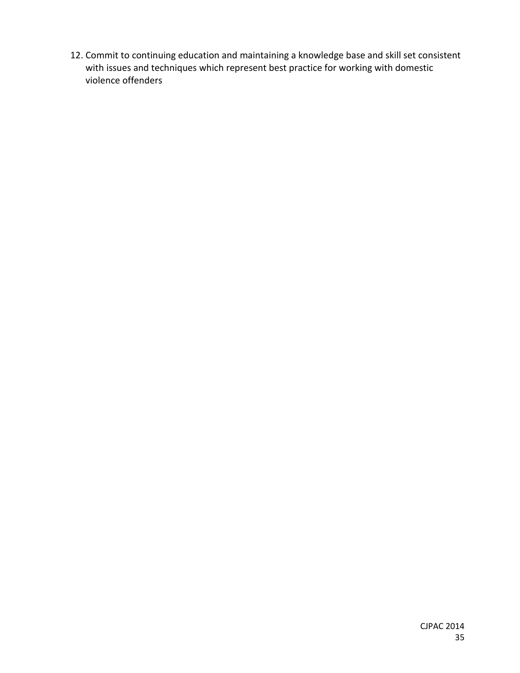12. Commit to continuing education and maintaining a knowledge base and skill set consistent with issues and techniques which represent best practice for working with domestic violence offenders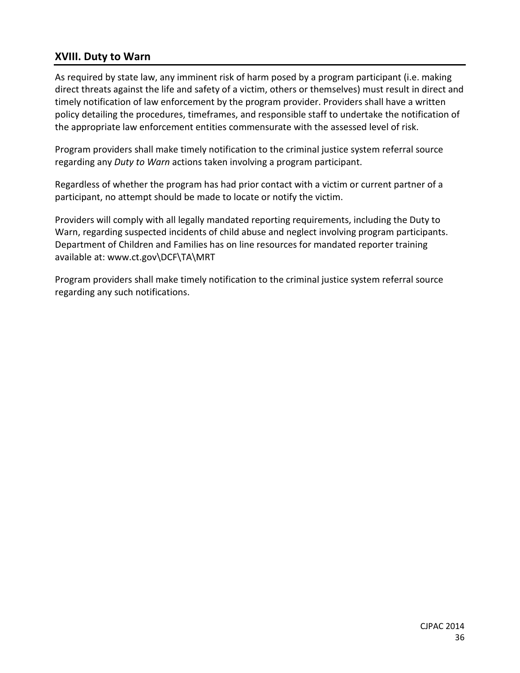# **XVIII. Duty to Warn**

As required by state law, any imminent risk of harm posed by a program participant (i.e. making direct threats against the life and safety of a victim, others or themselves) must result in direct and timely notification of law enforcement by the program provider. Providers shall have a written policy detailing the procedures, timeframes, and responsible staff to undertake the notification of the appropriate law enforcement entities commensurate with the assessed level of risk.

Program providers shall make timely notification to the criminal justice system referral source regarding any *Duty to Warn* actions taken involving a program participant.

Regardless of whether the program has had prior contact with a victim or current partner of a participant, no attempt should be made to locate or notify the victim.

Providers will comply with all legally mandated reporting requirements, including the Duty to Warn, regarding suspected incidents of child abuse and neglect involving program participants. Department of Children and Families has on line resources for mandated reporter training available at: www.ct.gov\DCF\TA\MRT

Program providers shall make timely notification to the criminal justice system referral source regarding any such notifications.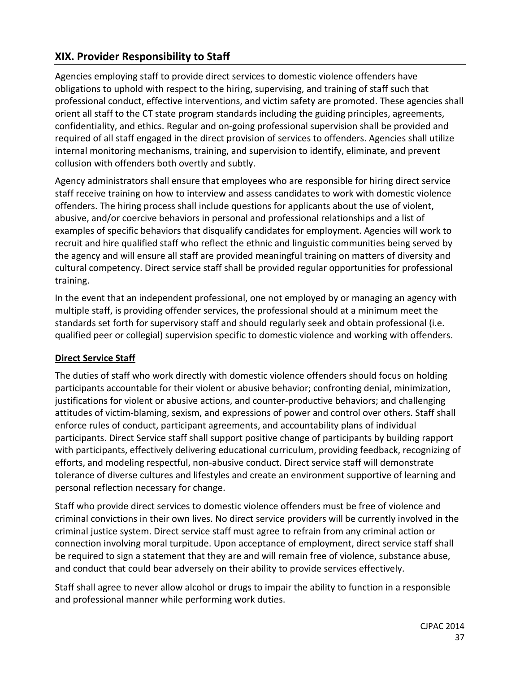# **XIX. Provider Responsibility to Staff**

Agencies employing staff to provide direct services to domestic violence offenders have obligations to uphold with respect to the hiring, supervising, and training of staff such that professional conduct, effective interventions, and victim safety are promoted. These agencies shall orient all staff to the CT state program standards including the guiding principles, agreements, confidentiality, and ethics. Regular and on-going professional supervision shall be provided and required of all staff engaged in the direct provision of services to offenders. Agencies shall utilize internal monitoring mechanisms, training, and supervision to identify, eliminate, and prevent collusion with offenders both overtly and subtly.

Agency administrators shall ensure that employees who are responsible for hiring direct service staff receive training on how to interview and assess candidates to work with domestic violence offenders. The hiring process shall include questions for applicants about the use of violent, abusive, and/or coercive behaviors in personal and professional relationships and a list of examples of specific behaviors that disqualify candidates for employment. Agencies will work to recruit and hire qualified staff who reflect the ethnic and linguistic communities being served by the agency and will ensure all staff are provided meaningful training on matters of diversity and cultural competency. Direct service staff shall be provided regular opportunities for professional training.

In the event that an independent professional, one not employed by or managing an agency with multiple staff, is providing offender services, the professional should at a minimum meet the standards set forth for supervisory staff and should regularly seek and obtain professional (i.e. qualified peer or collegial) supervision specific to domestic violence and working with offenders.

#### **Direct Service Staff**

The duties of staff who work directly with domestic violence offenders should focus on holding participants accountable for their violent or abusive behavior; confronting denial, minimization, justifications for violent or abusive actions, and counter-productive behaviors; and challenging attitudes of victim-blaming, sexism, and expressions of power and control over others. Staff shall enforce rules of conduct, participant agreements, and accountability plans of individual participants. Direct Service staff shall support positive change of participants by building rapport with participants, effectively delivering educational curriculum, providing feedback, recognizing of efforts, and modeling respectful, non-abusive conduct. Direct service staff will demonstrate tolerance of diverse cultures and lifestyles and create an environment supportive of learning and personal reflection necessary for change.

Staff who provide direct services to domestic violence offenders must be free of violence and criminal convictions in their own lives. No direct service providers will be currently involved in the criminal justice system. Direct service staff must agree to refrain from any criminal action or connection involving moral turpitude. Upon acceptance of employment, direct service staff shall be required to sign a statement that they are and will remain free of violence, substance abuse, and conduct that could bear adversely on their ability to provide services effectively.

Staff shall agree to never allow alcohol or drugs to impair the ability to function in a responsible and professional manner while performing work duties.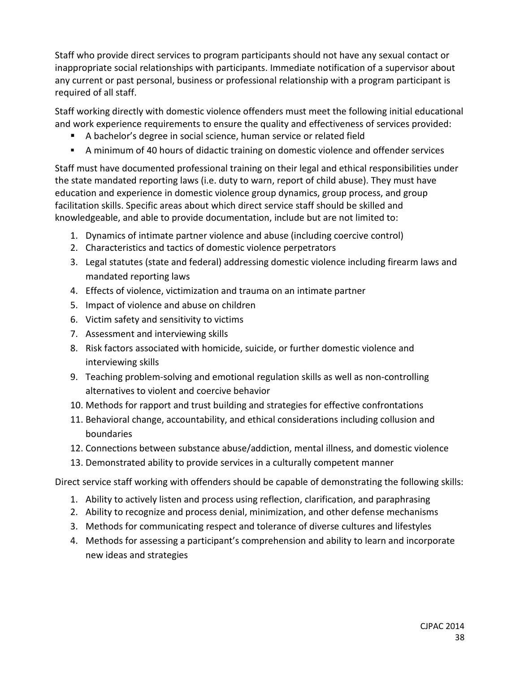Staff who provide direct services to program participants should not have any sexual contact or inappropriate social relationships with participants. Immediate notification of a supervisor about any current or past personal, business or professional relationship with a program participant is required of all staff.

Staff working directly with domestic violence offenders must meet the following initial educational and work experience requirements to ensure the quality and effectiveness of services provided:

- A bachelor's degree in social science, human service or related field
- A minimum of 40 hours of didactic training on domestic violence and offender services

Staff must have documented professional training on their legal and ethical responsibilities under the state mandated reporting laws (i.e. duty to warn, report of child abuse). They must have education and experience in domestic violence group dynamics, group process, and group facilitation skills. Specific areas about which direct service staff should be skilled and knowledgeable, and able to provide documentation, include but are not limited to:

- 1. Dynamics of intimate partner violence and abuse (including coercive control)
- 2. Characteristics and tactics of domestic violence perpetrators
- 3. Legal statutes (state and federal) addressing domestic violence including firearm laws and mandated reporting laws
- 4. Effects of violence, victimization and trauma on an intimate partner
- 5. Impact of violence and abuse on children
- 6. Victim safety and sensitivity to victims
- 7. Assessment and interviewing skills
- 8. Risk factors associated with homicide, suicide, or further domestic violence and interviewing skills
- 9. Teaching problem-solving and emotional regulation skills as well as non-controlling alternatives to violent and coercive behavior
- 10. Methods for rapport and trust building and strategies for effective confrontations
- 11. Behavioral change, accountability, and ethical considerations including collusion and boundaries
- 12. Connections between substance abuse/addiction, mental illness, and domestic violence
- 13. Demonstrated ability to provide services in a culturally competent manner

Direct service staff working with offenders should be capable of demonstrating the following skills:

- 1. Ability to actively listen and process using reflection, clarification, and paraphrasing
- 2. Ability to recognize and process denial, minimization, and other defense mechanisms
- 3. Methods for communicating respect and tolerance of diverse cultures and lifestyles
- 4. Methods for assessing a participant's comprehension and ability to learn and incorporate new ideas and strategies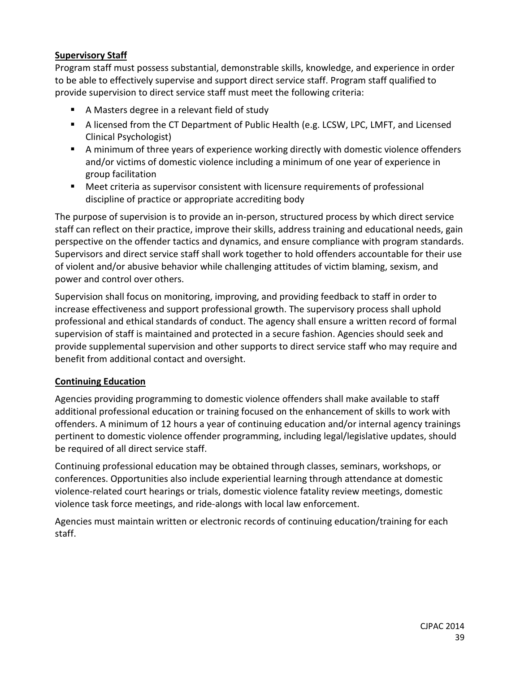# **Supervisory Staff**

Program staff must possess substantial, demonstrable skills, knowledge, and experience in order to be able to effectively supervise and support direct service staff. Program staff qualified to provide supervision to direct service staff must meet the following criteria:

- A Masters degree in a relevant field of study
- A licensed from the CT Department of Public Health (e.g. LCSW, LPC, LMFT, and Licensed Clinical Psychologist)
- A minimum of three years of experience working directly with domestic violence offenders and/or victims of domestic violence including a minimum of one year of experience in group facilitation
- Meet criteria as supervisor consistent with licensure requirements of professional discipline of practice or appropriate accrediting body

The purpose of supervision is to provide an in-person, structured process by which direct service staff can reflect on their practice, improve their skills, address training and educational needs, gain perspective on the offender tactics and dynamics, and ensure compliance with program standards. Supervisors and direct service staff shall work together to hold offenders accountable for their use of violent and/or abusive behavior while challenging attitudes of victim blaming, sexism, and power and control over others.

Supervision shall focus on monitoring, improving, and providing feedback to staff in order to increase effectiveness and support professional growth. The supervisory process shall uphold professional and ethical standards of conduct. The agency shall ensure a written record of formal supervision of staff is maintained and protected in a secure fashion. Agencies should seek and provide supplemental supervision and other supports to direct service staff who may require and benefit from additional contact and oversight.

# **Continuing Education**

Agencies providing programming to domestic violence offenders shall make available to staff additional professional education or training focused on the enhancement of skills to work with offenders. A minimum of 12 hours a year of continuing education and/or internal agency trainings pertinent to domestic violence offender programming, including legal/legislative updates, should be required of all direct service staff.

Continuing professional education may be obtained through classes, seminars, workshops, or conferences. Opportunities also include experiential learning through attendance at domestic violence-related court hearings or trials, domestic violence fatality review meetings, domestic violence task force meetings, and ride-alongs with local law enforcement.

Agencies must maintain written or electronic records of continuing education/training for each staff.